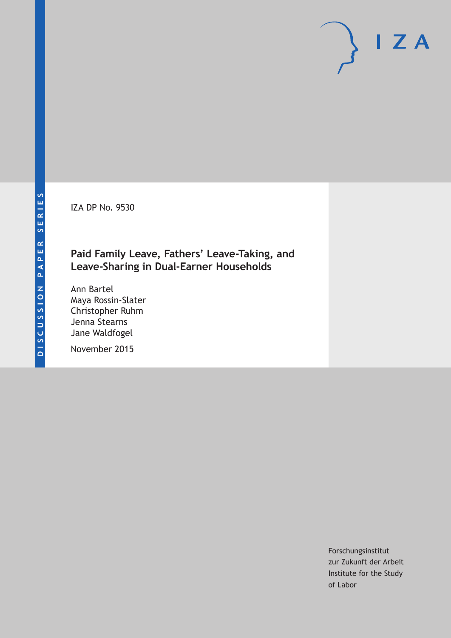IZA DP No. 9530

## **Paid Family Leave, Fathers' Leave-Taking, and Leave-Sharing in Dual-Earner Households**

Ann Bartel Maya Rossin-Slater Christopher Ruhm Jenna Stearns Jane Waldfogel

November 2015

Forschungsinstitut zur Zukunft der Arbeit Institute for the Study of Labor

 $I Z A$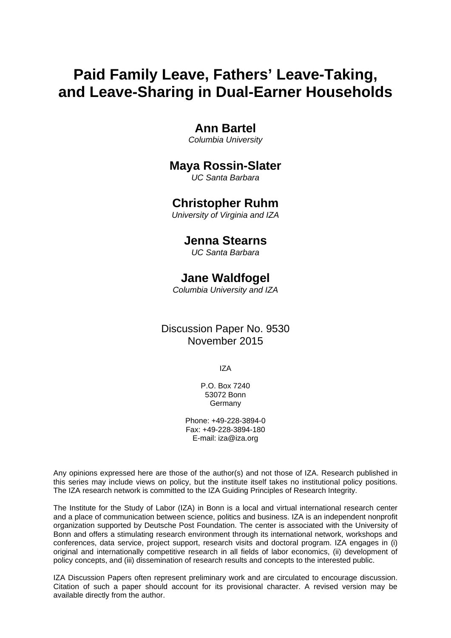# **Paid Family Leave, Fathers' Leave-Taking, and Leave-Sharing in Dual-Earner Households**

### **Ann Bartel**

*Columbia University* 

### **Maya Rossin-Slater**

*UC Santa Barbara* 

### **Christopher Ruhm**

*University of Virginia and IZA*

### **Jenna Stearns**

*UC Santa Barbara* 

### **Jane Waldfogel**

*Columbia University and IZA* 

### Discussion Paper No. 9530 November 2015

IZA

P.O. Box 7240 53072 Bonn Germany

Phone: +49-228-3894-0 Fax: +49-228-3894-180 E-mail: iza@iza.org

Any opinions expressed here are those of the author(s) and not those of IZA. Research published in this series may include views on policy, but the institute itself takes no institutional policy positions. The IZA research network is committed to the IZA Guiding Principles of Research Integrity.

The Institute for the Study of Labor (IZA) in Bonn is a local and virtual international research center and a place of communication between science, politics and business. IZA is an independent nonprofit organization supported by Deutsche Post Foundation. The center is associated with the University of Bonn and offers a stimulating research environment through its international network, workshops and conferences, data service, project support, research visits and doctoral program. IZA engages in (i) original and internationally competitive research in all fields of labor economics, (ii) development of policy concepts, and (iii) dissemination of research results and concepts to the interested public.

IZA Discussion Papers often represent preliminary work and are circulated to encourage discussion. Citation of such a paper should account for its provisional character. A revised version may be available directly from the author.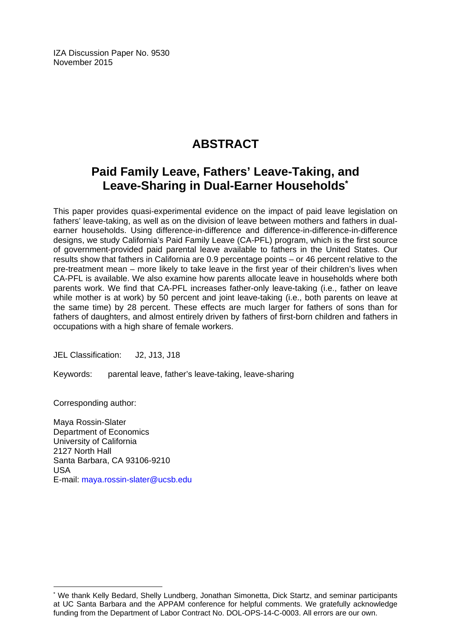IZA Discussion Paper No. 9530 November 2015

# **ABSTRACT**

# **Paid Family Leave, Fathers' Leave-Taking, and Leave-Sharing in Dual-Earner Households\***

This paper provides quasi-experimental evidence on the impact of paid leave legislation on fathers' leave-taking, as well as on the division of leave between mothers and fathers in dualearner households. Using difference-in-difference and difference-in-difference-in-difference designs, we study California's Paid Family Leave (CA-PFL) program, which is the first source of government-provided paid parental leave available to fathers in the United States. Our results show that fathers in California are 0.9 percentage points – or 46 percent relative to the pre-treatment mean – more likely to take leave in the first year of their children's lives when CA-PFL is available. We also examine how parents allocate leave in households where both parents work. We find that CA-PFL increases father-only leave-taking (i.e., father on leave while mother is at work) by 50 percent and joint leave-taking (i.e., both parents on leave at the same time) by 28 percent. These effects are much larger for fathers of sons than for fathers of daughters, and almost entirely driven by fathers of first-born children and fathers in occupations with a high share of female workers.

JEL Classification: J2, J13, J18

Keywords: parental leave, father's leave-taking, leave-sharing

Corresponding author:

 $\overline{\phantom{a}}$ 

Maya Rossin-Slater Department of Economics University of California 2127 North Hall Santa Barbara, CA 93106-9210 USA E-mail: maya.rossin-slater@ucsb.edu

<sup>\*</sup> We thank Kelly Bedard, Shelly Lundberg, Jonathan Simonetta, Dick Startz, and seminar participants at UC Santa Barbara and the APPAM conference for helpful comments. We gratefully acknowledge funding from the Department of Labor Contract No. DOL-OPS-14-C-0003. All errors are our own.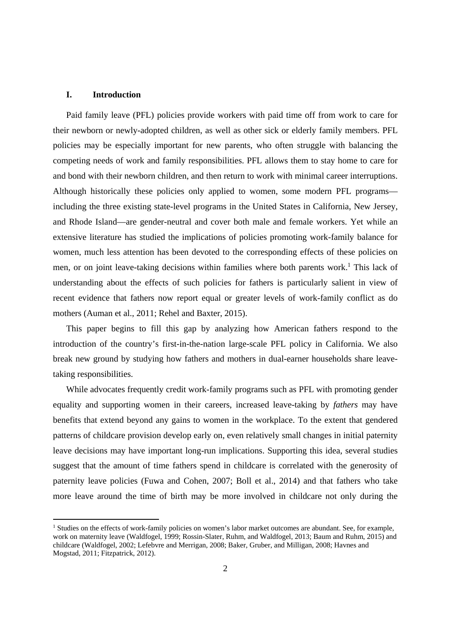#### **I. Introduction**

Paid family leave (PFL) policies provide workers with paid time off from work to care for their newborn or newly-adopted children, as well as other sick or elderly family members. PFL policies may be especially important for new parents, who often struggle with balancing the competing needs of work and family responsibilities. PFL allows them to stay home to care for and bond with their newborn children, and then return to work with minimal career interruptions. Although historically these policies only applied to women, some modern PFL programs including the three existing state-level programs in the United States in California, New Jersey, and Rhode Island—are gender-neutral and cover both male and female workers. Yet while an extensive literature has studied the implications of policies promoting work-family balance for women, much less attention has been devoted to the corresponding effects of these policies on men, or on joint leave-taking decisions within families where both parents work.<sup>1</sup> This lack of understanding about the effects of such policies for fathers is particularly salient in view of recent evidence that fathers now report equal or greater levels of work-family conflict as do mothers (Auman et al., 2011; Rehel and Baxter, 2015).

This paper begins to fill this gap by analyzing how American fathers respond to the introduction of the country's first-in-the-nation large-scale PFL policy in California. We also break new ground by studying how fathers and mothers in dual-earner households share leavetaking responsibilities.

While advocates frequently credit work-family programs such as PFL with promoting gender equality and supporting women in their careers, increased leave-taking by *fathers* may have benefits that extend beyond any gains to women in the workplace. To the extent that gendered patterns of childcare provision develop early on, even relatively small changes in initial paternity leave decisions may have important long-run implications. Supporting this idea, several studies suggest that the amount of time fathers spend in childcare is correlated with the generosity of paternity leave policies (Fuwa and Cohen, 2007; Boll et al., 2014) and that fathers who take more leave around the time of birth may be more involved in childcare not only during the

<sup>&</sup>lt;sup>1</sup> Studies on the effects of work-family policies on women's labor market outcomes are abundant. See, for example, work on maternity leave (Waldfogel, 1999; Rossin-Slater, Ruhm, and Waldfogel, 2013; Baum and Ruhm, 2015) and childcare (Waldfogel, 2002; Lefebvre and Merrigan, 2008; Baker, Gruber, and Milligan, 2008; Havnes and Mogstad, 2011; Fitzpatrick, 2012).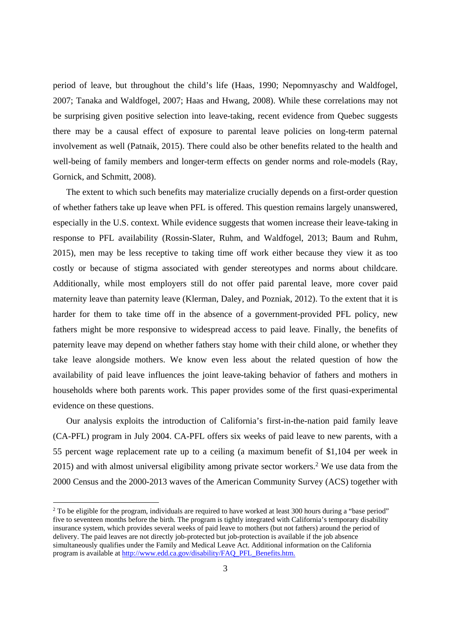period of leave, but throughout the child's life (Haas, 1990; Nepomnyaschy and Waldfogel, 2007; Tanaka and Waldfogel, 2007; Haas and Hwang, 2008). While these correlations may not be surprising given positive selection into leave-taking, recent evidence from Quebec suggests there may be a causal effect of exposure to parental leave policies on long-term paternal involvement as well (Patnaik, 2015). There could also be other benefits related to the health and well-being of family members and longer-term effects on gender norms and role-models (Ray, Gornick, and Schmitt, 2008).

The extent to which such benefits may materialize crucially depends on a first-order question of whether fathers take up leave when PFL is offered. This question remains largely unanswered, especially in the U.S. context. While evidence suggests that women increase their leave-taking in response to PFL availability (Rossin-Slater, Ruhm, and Waldfogel, 2013; Baum and Ruhm, 2015), men may be less receptive to taking time off work either because they view it as too costly or because of stigma associated with gender stereotypes and norms about childcare. Additionally, while most employers still do not offer paid parental leave, more cover paid maternity leave than paternity leave (Klerman, Daley, and Pozniak, 2012). To the extent that it is harder for them to take time off in the absence of a government-provided PFL policy, new fathers might be more responsive to widespread access to paid leave. Finally, the benefits of paternity leave may depend on whether fathers stay home with their child alone, or whether they take leave alongside mothers. We know even less about the related question of how the availability of paid leave influences the joint leave-taking behavior of fathers and mothers in households where both parents work. This paper provides some of the first quasi-experimental evidence on these questions.

Our analysis exploits the introduction of California's first-in-the-nation paid family leave (CA-PFL) program in July 2004. CA-PFL offers six weeks of paid leave to new parents, with a 55 percent wage replacement rate up to a ceiling (a maximum benefit of \$1,104 per week in 2015) and with almost universal eligibility among private sector workers.<sup>2</sup> We use data from the 2000 Census and the 2000-2013 waves of the American Community Survey (ACS) together with

<sup>&</sup>lt;sup>2</sup> To be eligible for the program, individuals are required to have worked at least 300 hours during a "base period" five to seventeen months before the birth. The program is tightly integrated with California's temporary disability insurance system, which provides several weeks of paid leave to mothers (but not fathers) around the period of delivery. The paid leaves are not directly job-protected but job-protection is available if the job absence simultaneously qualifies under the Family and Medical Leave Act. Additional information on the California program is available at http://www.edd.ca.gov/disability/FAQ\_PFL\_Benefits.htm.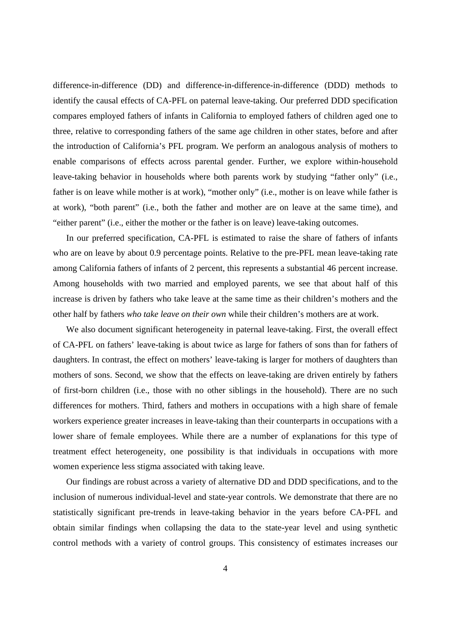difference-in-difference (DD) and difference-in-difference-in-difference (DDD) methods to identify the causal effects of CA-PFL on paternal leave-taking. Our preferred DDD specification compares employed fathers of infants in California to employed fathers of children aged one to three, relative to corresponding fathers of the same age children in other states, before and after the introduction of California's PFL program. We perform an analogous analysis of mothers to enable comparisons of effects across parental gender. Further, we explore within-household leave-taking behavior in households where both parents work by studying "father only" (i.e., father is on leave while mother is at work), "mother only" (i.e., mother is on leave while father is at work), "both parent" (i.e., both the father and mother are on leave at the same time), and "either parent" (i.e., either the mother or the father is on leave) leave-taking outcomes.

In our preferred specification, CA-PFL is estimated to raise the share of fathers of infants who are on leave by about 0.9 percentage points. Relative to the pre-PFL mean leave-taking rate among California fathers of infants of 2 percent, this represents a substantial 46 percent increase. Among households with two married and employed parents, we see that about half of this increase is driven by fathers who take leave at the same time as their children's mothers and the other half by fathers *who take leave on their own* while their children's mothers are at work.

We also document significant heterogeneity in paternal leave-taking. First, the overall effect of CA-PFL on fathers' leave-taking is about twice as large for fathers of sons than for fathers of daughters. In contrast, the effect on mothers' leave-taking is larger for mothers of daughters than mothers of sons. Second, we show that the effects on leave-taking are driven entirely by fathers of first-born children (i.e., those with no other siblings in the household). There are no such differences for mothers. Third, fathers and mothers in occupations with a high share of female workers experience greater increases in leave-taking than their counterparts in occupations with a lower share of female employees. While there are a number of explanations for this type of treatment effect heterogeneity, one possibility is that individuals in occupations with more women experience less stigma associated with taking leave.

Our findings are robust across a variety of alternative DD and DDD specifications, and to the inclusion of numerous individual-level and state-year controls. We demonstrate that there are no statistically significant pre-trends in leave-taking behavior in the years before CA-PFL and obtain similar findings when collapsing the data to the state-year level and using synthetic control methods with a variety of control groups. This consistency of estimates increases our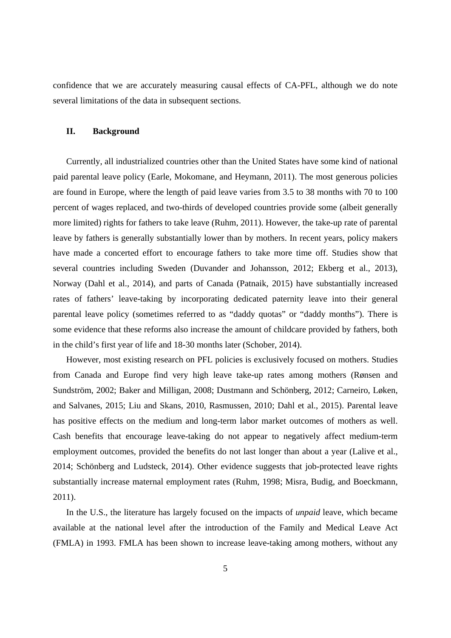confidence that we are accurately measuring causal effects of CA-PFL, although we do note several limitations of the data in subsequent sections.

#### **II. Background**

Currently, all industrialized countries other than the United States have some kind of national paid parental leave policy (Earle, Mokomane, and Heymann, 2011). The most generous policies are found in Europe, where the length of paid leave varies from 3.5 to 38 months with 70 to 100 percent of wages replaced, and two-thirds of developed countries provide some (albeit generally more limited) rights for fathers to take leave (Ruhm, 2011). However, the take-up rate of parental leave by fathers is generally substantially lower than by mothers. In recent years, policy makers have made a concerted effort to encourage fathers to take more time off. Studies show that several countries including Sweden (Duvander and Johansson, 2012; Ekberg et al., 2013), Norway (Dahl et al., 2014), and parts of Canada (Patnaik, 2015) have substantially increased rates of fathers' leave-taking by incorporating dedicated paternity leave into their general parental leave policy (sometimes referred to as "daddy quotas" or "daddy months"). There is some evidence that these reforms also increase the amount of childcare provided by fathers, both in the child's first year of life and 18-30 months later (Schober, 2014).

However, most existing research on PFL policies is exclusively focused on mothers. Studies from Canada and Europe find very high leave take-up rates among mothers (Rønsen and Sundström, 2002; Baker and Milligan, 2008; Dustmann and Schönberg, 2012; Carneiro, Løken, and Salvanes, 2015; Liu and Skans, 2010, Rasmussen, 2010; Dahl et al., 2015). Parental leave has positive effects on the medium and long-term labor market outcomes of mothers as well. Cash benefits that encourage leave-taking do not appear to negatively affect medium-term employment outcomes, provided the benefits do not last longer than about a year (Lalive et al., 2014; Schönberg and Ludsteck, 2014). Other evidence suggests that job-protected leave rights substantially increase maternal employment rates (Ruhm, 1998; Misra, Budig, and Boeckmann, 2011).

In the U.S., the literature has largely focused on the impacts of *unpaid* leave, which became available at the national level after the introduction of the Family and Medical Leave Act (FMLA) in 1993. FMLA has been shown to increase leave-taking among mothers, without any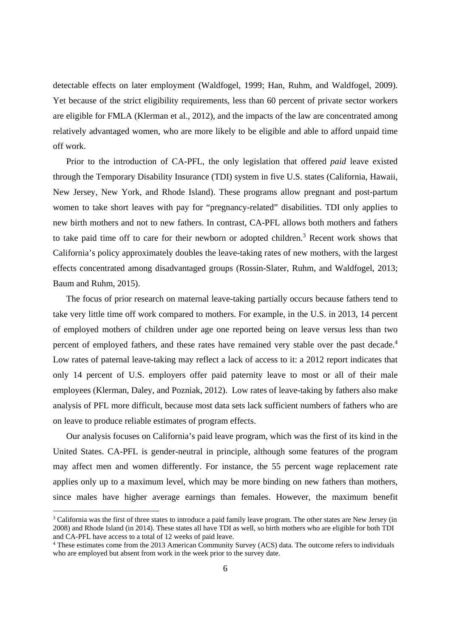detectable effects on later employment (Waldfogel, 1999; Han, Ruhm, and Waldfogel, 2009). Yet because of the strict eligibility requirements, less than 60 percent of private sector workers are eligible for FMLA (Klerman et al., 2012), and the impacts of the law are concentrated among relatively advantaged women, who are more likely to be eligible and able to afford unpaid time off work.

Prior to the introduction of CA-PFL, the only legislation that offered *paid* leave existed through the Temporary Disability Insurance (TDI) system in five U.S. states (California, Hawaii, New Jersey, New York, and Rhode Island). These programs allow pregnant and post-partum women to take short leaves with pay for "pregnancy-related" disabilities. TDI only applies to new birth mothers and not to new fathers. In contrast, CA-PFL allows both mothers and fathers to take paid time off to care for their newborn or adopted children.<sup>3</sup> Recent work shows that California's policy approximately doubles the leave-taking rates of new mothers, with the largest effects concentrated among disadvantaged groups (Rossin-Slater, Ruhm, and Waldfogel, 2013; Baum and Ruhm, 2015).

The focus of prior research on maternal leave-taking partially occurs because fathers tend to take very little time off work compared to mothers. For example, in the U.S. in 2013, 14 percent of employed mothers of children under age one reported being on leave versus less than two percent of employed fathers, and these rates have remained very stable over the past decade.<sup>4</sup> Low rates of paternal leave-taking may reflect a lack of access to it: a 2012 report indicates that only 14 percent of U.S. employers offer paid paternity leave to most or all of their male employees (Klerman, Daley, and Pozniak, 2012). Low rates of leave-taking by fathers also make analysis of PFL more difficult, because most data sets lack sufficient numbers of fathers who are on leave to produce reliable estimates of program effects.

Our analysis focuses on California's paid leave program, which was the first of its kind in the United States. CA-PFL is gender-neutral in principle, although some features of the program may affect men and women differently. For instance, the 55 percent wage replacement rate applies only up to a maximum level, which may be more binding on new fathers than mothers, since males have higher average earnings than females. However, the maximum benefit

<sup>&</sup>lt;sup>3</sup> California was the first of three states to introduce a paid family leave program. The other states are New Jersey (in 2008) and Rhode Island (in 2014). These states all have TDI as well, so birth mothers who are eligible for both TDI and CA-PFL have access to a total of 12 weeks of paid leave.

<sup>4</sup> These estimates come from the 2013 American Community Survey (ACS) data. The outcome refers to individuals who are employed but absent from work in the week prior to the survey date.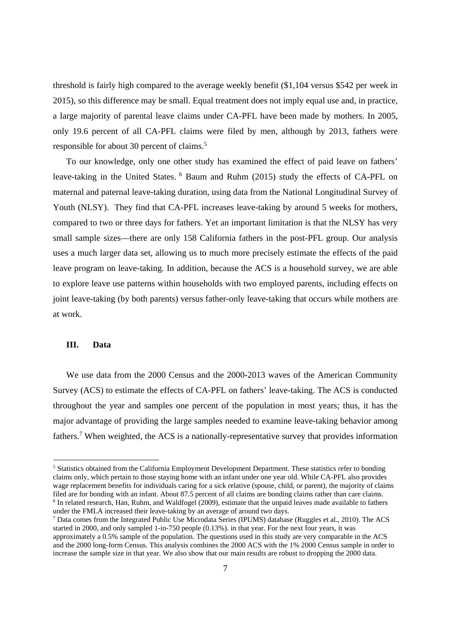threshold is fairly high compared to the average weekly benefit (\$1,104 versus \$542 per week in 2015), so this difference may be small. Equal treatment does not imply equal use and, in practice, a large majority of parental leave claims under CA-PFL have been made by mothers. In 2005, only 19.6 percent of all CA-PFL claims were filed by men, although by 2013, fathers were responsible for about 30 percent of claims.<sup>5</sup>

To our knowledge, only one other study has examined the effect of paid leave on fathers' leave-taking in the United States. <sup>6</sup> Baum and Ruhm (2015) study the effects of CA-PFL on maternal and paternal leave-taking duration, using data from the National Longitudinal Survey of Youth (NLSY). They find that CA-PFL increases leave-taking by around 5 weeks for mothers, compared to two or three days for fathers. Yet an important limitation is that the NLSY has very small sample sizes—there are only 158 California fathers in the post-PFL group. Our analysis uses a much larger data set, allowing us to much more precisely estimate the effects of the paid leave program on leave-taking. In addition, because the ACS is a household survey, we are able to explore leave use patterns within households with two employed parents, including effects on joint leave-taking (by both parents) versus father-only leave-taking that occurs while mothers are at work.

#### **III. Data**

We use data from the 2000 Census and the 2000-2013 waves of the American Community Survey (ACS) to estimate the effects of CA-PFL on fathers' leave-taking. The ACS is conducted throughout the year and samples one percent of the population in most years; thus, it has the major advantage of providing the large samples needed to examine leave-taking behavior among fathers.<sup>7</sup> When weighted, the ACS is a nationally-representative survey that provides information

<sup>&</sup>lt;sup>5</sup> Statistics obtained from the California Employment Development Department. These statistics refer to bonding claims only, which pertain to those staying home with an infant under one year old. While CA-PFL also provides wage replacement benefits for individuals caring for a sick relative (spouse, child, or parent), the majority of claims filed are for bonding with an infant. About 87.5 percent of all claims are bonding claims rather than care claims. <sup>6</sup> In related research, Han, Ruhm, and Waldfogel (2009), estimate that the unpaid leaves made available to fathers under the FMLA increased their leave-taking by an average of around two days.

<sup>&</sup>lt;sup>7</sup> Data comes from the Integrated Public Use Microdata Series (IPUMS) database (Ruggles et al., 2010). The ACS started in 2000, and only sampled 1-in-750 people (0.13%). in that year. For the next four years, it was approximately a 0.5% sample of the population. The questions used in this study are very comparable in the ACS and the 2000 long-form Census. This analysis combines the 2000 ACS with the 1% 2000 Census sample in order to increase the sample size in that year. We also show that our main results are robust to dropping the 2000 data.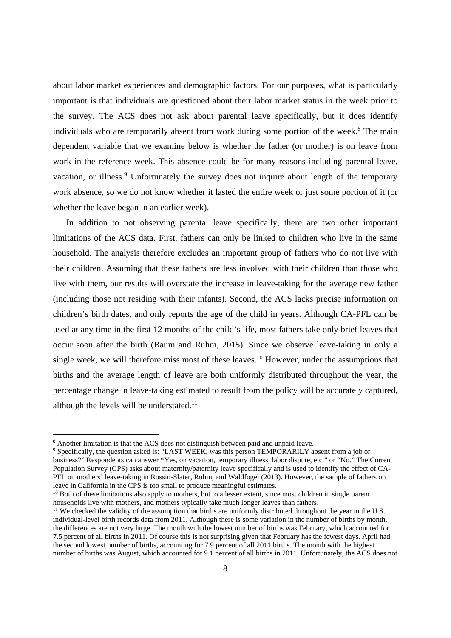about labor market experiences and demographic factors. For our purposes, what is particularly important is that individuals are questioned about their labor market status in the week prior to the survey. The ACS does not ask about parental leave specifically, but it does identify individuals who are temporarily absent from work during some portion of the week.<sup>8</sup> The main dependent variable that we examine below is whether the father (or mother) is on leave from work in the reference week. This absence could be for many reasons including parental leave, vacation, or illness.<sup>9</sup> Unfortunately the survey does not inquire about length of the temporary work absence, so we do not know whether it lasted the entire week or just some portion of it (or whether the leave began in an earlier week).

In addition to not observing parental leave specifically, there are two other important limitations of the ACS data. First, fathers can only be linked to children who live in the same household. The analysis therefore excludes an important group of fathers who do not live with their children. Assuming that these fathers are less involved with their children than those who live with them, our results will overstate the increase in leave-taking for the average new father (including those not residing with their infants). Second, the ACS lacks precise information on children's birth dates, and only reports the age of the child in years. Although CA-PFL can be used at any time in the first 12 months of the child's life, most fathers take only brief leaves that occur soon after the birth (Baum and Ruhm, 2015). Since we observe leave-taking in only a single week, we will therefore miss most of these leaves.<sup>10</sup> However, under the assumptions that births and the average length of leave are both uniformly distributed throughout the year, the percentage change in leave-taking estimated to result from the policy will be accurately captured, although the levels will be understated.<sup>11</sup>

<sup>10</sup> Both of these limitations also apply to mothers, but to a lesser extent, since most children in single parent households live with mothers, and mothers typically take much longer leaves than fathers.

<sup>&</sup>lt;sup>8</sup> Another limitation is that the ACS does not distinguish between paid and unpaid leave.

<sup>&</sup>lt;sup>9</sup> Specifically, the question asked is: "LAST WEEK, was this person TEMPORARILY absent from a job or business?" Respondents can answer **"**Yes, on vacation, temporary illness, labor dispute, etc." or "No." The Current Population Survey (CPS) asks about maternity/paternity leave specifically and is used to identify the effect of CA-PFL on mothers' leave-taking in Rossin-Slater, Ruhm, and Waldfogel (2013). However, the sample of fathers on leave in California in the CPS is too small to produce meaningful estimates.

<sup>&</sup>lt;sup>11</sup> We checked the validity of the assumption that births are uniformly distributed throughout the year in the U.S. individual-level birth records data from 2011. Although there is some variation in the number of births by month, the differences are not very large. The month with the lowest number of births was February, which accounted for 7.5 percent of all births in 2011. Of course this is not surprising given that February has the fewest days. April had the second lowest number of births, accounting for 7.9 percent of all 2011 births. The month with the highest number of births was August, which accounted for 9.1 percent of all births in 2011. Unfortunately, the ACS does not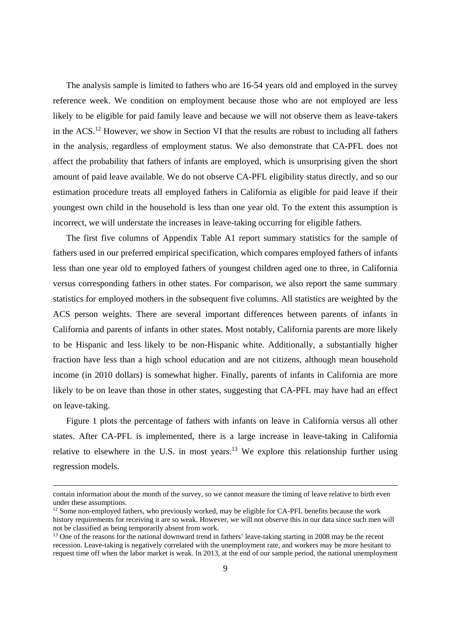The analysis sample is limited to fathers who are 16-54 years old and employed in the survey reference week. We condition on employment because those who are not employed are less likely to be eligible for paid family leave and because we will not observe them as leave-takers in the ACS.12 However, we show in Section VI that the results are robust to including all fathers in the analysis, regardless of employment status. We also demonstrate that CA-PFL does not affect the probability that fathers of infants are employed, which is unsurprising given the short amount of paid leave available. We do not observe CA-PFL eligibility status directly, and so our estimation procedure treats all employed fathers in California as eligible for paid leave if their youngest own child in the household is less than one year old. To the extent this assumption is incorrect, we will understate the increases in leave-taking occurring for eligible fathers.

The first five columns of Appendix Table A1 report summary statistics for the sample of fathers used in our preferred empirical specification, which compares employed fathers of infants less than one year old to employed fathers of youngest children aged one to three, in California versus corresponding fathers in other states. For comparison, we also report the same summary statistics for employed mothers in the subsequent five columns. All statistics are weighted by the ACS person weights. There are several important differences between parents of infants in California and parents of infants in other states. Most notably, California parents are more likely to be Hispanic and less likely to be non-Hispanic white. Additionally, a substantially higher fraction have less than a high school education and are not citizens, although mean household income (in 2010 dollars) is somewhat higher. Finally, parents of infants in California are more likely to be on leave than those in other states, suggesting that CA-PFL may have had an effect on leave-taking.

Figure 1 plots the percentage of fathers with infants on leave in California versus all other states. After CA-PFL is implemented, there is a large increase in leave-taking in California relative to elsewhere in the U.S. in most years.<sup>13</sup> We explore this relationship further using regression models.

contain information about the month of the survey, so we cannot measure the timing of leave relative to birth even under these assumptions.

<sup>&</sup>lt;sup>12</sup> Some non-employed fathers, who previously worked, may be eligible for CA-PFL benefits because the work history requirements for receiving it are so weak. However, we will not observe this in our data since such men will not be classified as being temporarily absent from work.

<sup>&</sup>lt;sup>13</sup> One of the reasons for the national downward trend in fathers' leave-taking starting in 2008 may be the recent recession. Leave-taking is negatively correlated with the unemployment rate, and workers may be more hesitant to request time off when the labor market is weak. In 2013, at the end of our sample period, the national unemployment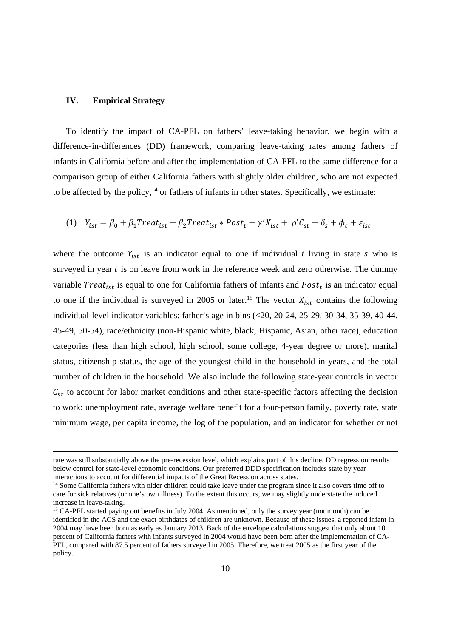#### **IV. Empirical Strategy**

To identify the impact of CA-PFL on fathers' leave-taking behavior, we begin with a difference-in-differences (DD) framework, comparing leave-taking rates among fathers of infants in California before and after the implementation of CA-PFL to the same difference for a comparison group of either California fathers with slightly older children, who are not expected to be affected by the policy, $14$  or fathers of infants in other states. Specifically, we estimate:

(1) 
$$
Y_{ist} = \beta_0 + \beta_1 Treat_{ist} + \beta_2 Treat_{ist} * Post_t + \gamma' X_{ist} + \rho' C_{st} + \delta_s + \phi_t + \varepsilon_{ist}
$$

where the outcome  $Y_{ist}$  is an indicator equal to one if individual *i* living in state s who is surveyed in year  $t$  is on leave from work in the reference week and zero otherwise. The dummy variable  $Treat_{ist}$  is equal to one for California fathers of infants and  $Post_t$  is an indicator equal to one if the individual is surveyed in 2005 or later.<sup>15</sup> The vector  $X_{ist}$  contains the following individual-level indicator variables: father's age in bins (<20, 20-24, 25-29, 30-34, 35-39, 40-44, 45-49, 50-54), race/ethnicity (non-Hispanic white, black, Hispanic, Asian, other race), education categories (less than high school, high school, some college, 4-year degree or more), marital status, citizenship status, the age of the youngest child in the household in years, and the total number of children in the household. We also include the following state-year controls in vector  $C_{st}$  to account for labor market conditions and other state-specific factors affecting the decision to work: unemployment rate, average welfare benefit for a four-person family, poverty rate, state minimum wage, per capita income, the log of the population, and an indicator for whether or not

rate was still substantially above the pre-recession level, which explains part of this decline. DD regression results below control for state-level economic conditions. Our preferred DDD specification includes state by year interactions to account for differential impacts of the Great Recession across states.

<sup>&</sup>lt;sup>14</sup> Some California fathers with older children could take leave under the program since it also covers time off to care for sick relatives (or one's own illness). To the extent this occurs, we may slightly understate the induced increase in leave-taking.

<sup>&</sup>lt;sup>15</sup> CA-PFL started paying out benefits in July 2004. As mentioned, only the survey year (not month) can be identified in the ACS and the exact birthdates of children are unknown. Because of these issues, a reported infant in 2004 may have been born as early as January 2013. Back of the envelope calculations suggest that only about 10 percent of California fathers with infants surveyed in 2004 would have been born after the implementation of CA-PFL, compared with 87.5 percent of fathers surveyed in 2005. Therefore, we treat 2005 as the first year of the policy.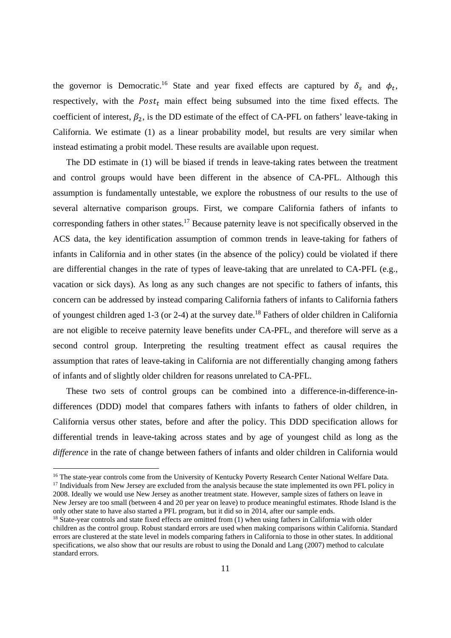the governor is Democratic.<sup>16</sup> State and year fixed effects are captured by  $\delta_s$  and  $\phi_t$ , respectively, with the  $Post<sub>t</sub>$  main effect being subsumed into the time fixed effects. The coefficient of interest,  $\beta_2$ , is the DD estimate of the effect of CA-PFL on fathers' leave-taking in California. We estimate (1) as a linear probability model, but results are very similar when instead estimating a probit model. These results are available upon request.

The DD estimate in (1) will be biased if trends in leave-taking rates between the treatment and control groups would have been different in the absence of CA-PFL. Although this assumption is fundamentally untestable, we explore the robustness of our results to the use of several alternative comparison groups. First, we compare California fathers of infants to corresponding fathers in other states.<sup>17</sup> Because paternity leave is not specifically observed in the ACS data, the key identification assumption of common trends in leave-taking for fathers of infants in California and in other states (in the absence of the policy) could be violated if there are differential changes in the rate of types of leave-taking that are unrelated to CA-PFL (e.g., vacation or sick days). As long as any such changes are not specific to fathers of infants, this concern can be addressed by instead comparing California fathers of infants to California fathers of youngest children aged 1-3 (or 2-4) at the survey date.18 Fathers of older children in California are not eligible to receive paternity leave benefits under CA-PFL, and therefore will serve as a second control group. Interpreting the resulting treatment effect as causal requires the assumption that rates of leave-taking in California are not differentially changing among fathers of infants and of slightly older children for reasons unrelated to CA-PFL.

These two sets of control groups can be combined into a difference-in-difference-indifferences (DDD) model that compares fathers with infants to fathers of older children, in California versus other states, before and after the policy. This DDD specification allows for differential trends in leave-taking across states and by age of youngest child as long as the *difference* in the rate of change between fathers of infants and older children in California would

<sup>&</sup>lt;sup>16</sup> The state-year controls come from the University of Kentucky Poverty Research Center National Welfare Data.

<sup>&</sup>lt;sup>17</sup> Individuals from New Jersey are excluded from the analysis because the state implemented its own PFL policy in 2008. Ideally we would use New Jersey as another treatment state. However, sample sizes of fathers on leave in New Jersey are too small (between 4 and 20 per year on leave) to produce meaningful estimates. Rhode Island is the only other state to have also started a PFL program, but it did so in 2014, after our sample ends.

<sup>&</sup>lt;sup>18</sup> State-year controls and state fixed effects are omitted from (1) when using fathers in California with older children as the control group. Robust standard errors are used when making comparisons within California. Standard errors are clustered at the state level in models comparing fathers in California to those in other states. In additional specifications, we also show that our results are robust to using the Donald and Lang (2007) method to calculate standard errors.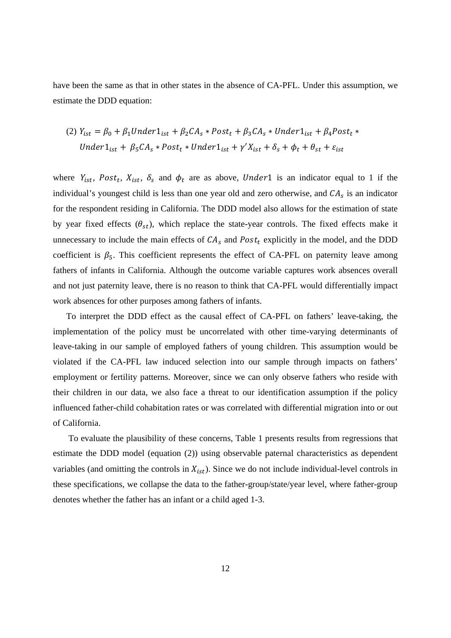have been the same as that in other states in the absence of CA-PFL. Under this assumption, we estimate the DDD equation:

(2) 
$$
Y_{ist} = \beta_0 + \beta_1 Under1_{ist} + \beta_2 CA_s * Post_t + \beta_3 CA_s * Under1_{ist} + \beta_4 Post_t *
$$
  
Under1<sub>ist</sub> +  $\beta_5 CA_s * Post_t * Under1_{ist} + \gamma' X_{ist} + \delta_s + \phi_t + \theta_{st} + \varepsilon_{ist}$ 

where  $Y_{ist}$ ,  $Post_t$ ,  $X_{ist}$ ,  $\delta_s$  and  $\phi_t$  are as above, Under 1 is an indicator equal to 1 if the individual's youngest child is less than one year old and zero otherwise, and  $CA<sub>s</sub>$  is an indicator for the respondent residing in California. The DDD model also allows for the estimation of state by year fixed effects  $(\theta_{st})$ , which replace the state-year controls. The fixed effects make it unnecessary to include the main effects of  $CA_s$  and  $Post_t$  explicitly in the model, and the DDD coefficient is  $\beta_5$ . This coefficient represents the effect of CA-PFL on paternity leave among fathers of infants in California. Although the outcome variable captures work absences overall and not just paternity leave, there is no reason to think that CA-PFL would differentially impact work absences for other purposes among fathers of infants.

To interpret the DDD effect as the causal effect of CA-PFL on fathers' leave-taking, the implementation of the policy must be uncorrelated with other time-varying determinants of leave-taking in our sample of employed fathers of young children. This assumption would be violated if the CA-PFL law induced selection into our sample through impacts on fathers' employment or fertility patterns. Moreover, since we can only observe fathers who reside with their children in our data, we also face a threat to our identification assumption if the policy influenced father-child cohabitation rates or was correlated with differential migration into or out of California.

 To evaluate the plausibility of these concerns, Table 1 presents results from regressions that estimate the DDD model (equation (2)) using observable paternal characteristics as dependent variables (and omitting the controls in  $X_{ist}$ ). Since we do not include individual-level controls in these specifications, we collapse the data to the father-group/state/year level, where father-group denotes whether the father has an infant or a child aged 1-3.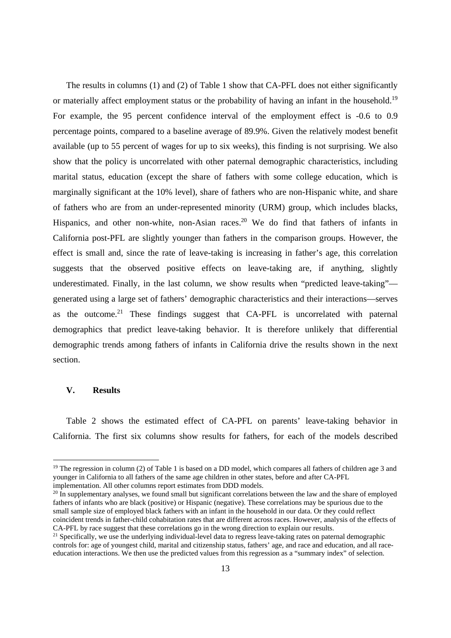The results in columns (1) and (2) of Table 1 show that CA-PFL does not either significantly or materially affect employment status or the probability of having an infant in the household.<sup>19</sup> For example, the 95 percent confidence interval of the employment effect is -0.6 to 0.9 percentage points, compared to a baseline average of 89.9%. Given the relatively modest benefit available (up to 55 percent of wages for up to six weeks), this finding is not surprising. We also show that the policy is uncorrelated with other paternal demographic characteristics, including marital status, education (except the share of fathers with some college education, which is marginally significant at the 10% level), share of fathers who are non-Hispanic white, and share of fathers who are from an under-represented minority (URM) group, which includes blacks, Hispanics, and other non-white, non-Asian races.<sup>20</sup> We do find that fathers of infants in California post-PFL are slightly younger than fathers in the comparison groups. However, the effect is small and, since the rate of leave-taking is increasing in father's age, this correlation suggests that the observed positive effects on leave-taking are, if anything, slightly underestimated. Finally, in the last column, we show results when "predicted leave-taking" generated using a large set of fathers' demographic characteristics and their interactions—serves as the outcome.<sup>21</sup> These findings suggest that CA-PFL is uncorrelated with paternal demographics that predict leave-taking behavior. It is therefore unlikely that differential demographic trends among fathers of infants in California drive the results shown in the next section.

#### **V. Results**

Table 2 shows the estimated effect of CA-PFL on parents' leave-taking behavior in California. The first six columns show results for fathers, for each of the models described

<sup>&</sup>lt;sup>19</sup> The regression in column (2) of Table 1 is based on a DD model, which compares all fathers of children age 3 and younger in California to all fathers of the same age children in other states, before and after CA-PFL implementation. All other columns report estimates from DDD models.

 $^{20}$  In supplementary analyses, we found small but significant correlations between the law and the share of employed fathers of infants who are black (positive) or Hispanic (negative). These correlations may be spurious due to the small sample size of employed black fathers with an infant in the household in our data. Or they could reflect coincident trends in father-child cohabitation rates that are different across races. However, analysis of the effects of CA-PFL by race suggest that these correlations go in the wrong direction to explain our results.

<sup>&</sup>lt;sup>21</sup> Specifically, we use the underlying individual-level data to regress leave-taking rates on paternal demographic controls for: age of youngest child, marital and citizenship status, fathers' age, and race and education, and all raceeducation interactions. We then use the predicted values from this regression as a "summary index" of selection.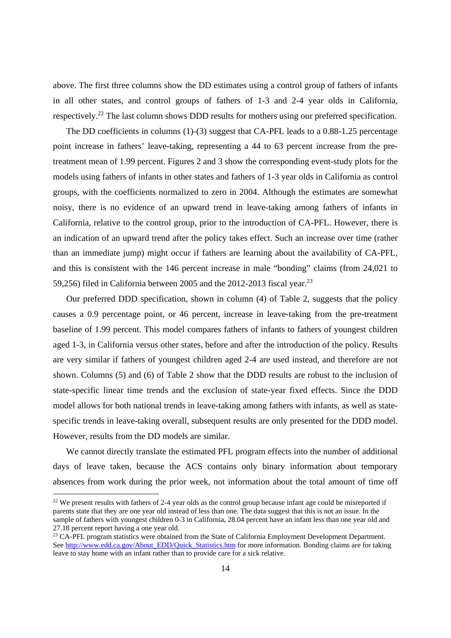above. The first three columns show the DD estimates using a control group of fathers of infants in all other states, and control groups of fathers of 1-3 and 2-4 year olds in California, respectively.22 The last column shows DDD results for mothers using our preferred specification.

The DD coefficients in columns (1)-(3) suggest that CA-PFL leads to a 0.88-1.25 percentage point increase in fathers' leave-taking, representing a 44 to 63 percent increase from the pretreatment mean of 1.99 percent. Figures 2 and 3 show the corresponding event-study plots for the models using fathers of infants in other states and fathers of 1-3 year olds in California as control groups, with the coefficients normalized to zero in 2004. Although the estimates are somewhat noisy, there is no evidence of an upward trend in leave-taking among fathers of infants in California, relative to the control group, prior to the introduction of CA-PFL. However, there is an indication of an upward trend after the policy takes effect. Such an increase over time (rather than an immediate jump) might occur if fathers are learning about the availability of CA-PFL, and this is consistent with the 146 percent increase in male "bonding" claims (from 24,021 to 59,256) filed in California between 2005 and the 2012-2013 fiscal year.<sup>23</sup>

Our preferred DDD specification, shown in column (4) of Table 2, suggests that the policy causes a 0.9 percentage point, or 46 percent, increase in leave-taking from the pre-treatment baseline of 1.99 percent. This model compares fathers of infants to fathers of youngest children aged 1-3, in California versus other states, before and after the introduction of the policy. Results are very similar if fathers of youngest children aged 2-4 are used instead, and therefore are not shown. Columns (5) and (6) of Table 2 show that the DDD results are robust to the inclusion of state-specific linear time trends and the exclusion of state-year fixed effects. Since the DDD model allows for both national trends in leave-taking among fathers with infants, as well as statespecific trends in leave-taking overall, subsequent results are only presented for the DDD model. However, results from the DD models are similar.

We cannot directly translate the estimated PFL program effects into the number of additional days of leave taken, because the ACS contains only binary information about temporary absences from work during the prior week, not information about the total amount of time off

 $22$  We present results with fathers of 2-4 year olds as the control group because infant age could be misreported if parents state that they are one year old instead of less than one. The data suggest that this is not an issue. In the sample of fathers with youngest children 0-3 in California, 28.04 percent have an infant less than one year old and 27.18 percent report having a one year old.

<sup>&</sup>lt;sup>23</sup> CA-PFL program statistics were obtained from the State of California Employment Development Department. See http://www.edd.ca.gov/About\_EDD/Quick\_Statistics.htm for more information. Bonding claims are for taking leave to stay home with an infant rather than to provide care for a sick relative.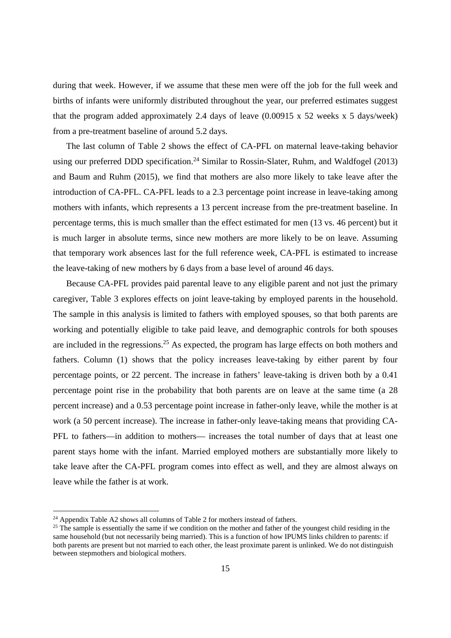during that week. However, if we assume that these men were off the job for the full week and births of infants were uniformly distributed throughout the year, our preferred estimates suggest that the program added approximately 2.4 days of leave (0.00915 x 52 weeks x 5 days/week) from a pre-treatment baseline of around 5.2 days.

The last column of Table 2 shows the effect of CA-PFL on maternal leave-taking behavior using our preferred DDD specification.<sup>24</sup> Similar to Rossin-Slater, Ruhm, and Waldfogel (2013) and Baum and Ruhm (2015), we find that mothers are also more likely to take leave after the introduction of CA-PFL. CA-PFL leads to a 2.3 percentage point increase in leave-taking among mothers with infants, which represents a 13 percent increase from the pre-treatment baseline. In percentage terms, this is much smaller than the effect estimated for men (13 vs. 46 percent) but it is much larger in absolute terms, since new mothers are more likely to be on leave. Assuming that temporary work absences last for the full reference week, CA-PFL is estimated to increase the leave-taking of new mothers by 6 days from a base level of around 46 days.

Because CA-PFL provides paid parental leave to any eligible parent and not just the primary caregiver, Table 3 explores effects on joint leave-taking by employed parents in the household. The sample in this analysis is limited to fathers with employed spouses, so that both parents are working and potentially eligible to take paid leave, and demographic controls for both spouses are included in the regressions.<sup>25</sup> As expected, the program has large effects on both mothers and fathers. Column (1) shows that the policy increases leave-taking by either parent by four percentage points, or 22 percent. The increase in fathers' leave-taking is driven both by a 0.41 percentage point rise in the probability that both parents are on leave at the same time (a 28 percent increase) and a 0.53 percentage point increase in father-only leave, while the mother is at work (a 50 percent increase). The increase in father-only leave-taking means that providing CA-PFL to fathers—in addition to mothers— increases the total number of days that at least one parent stays home with the infant. Married employed mothers are substantially more likely to take leave after the CA-PFL program comes into effect as well, and they are almost always on leave while the father is at work.

 $24$  Appendix Table A2 shows all columns of Table 2 for mothers instead of fathers.

<sup>&</sup>lt;sup>25</sup> The sample is essentially the same if we condition on the mother and father of the youngest child residing in the same household (but not necessarily being married). This is a function of how IPUMS links children to parents: if both parents are present but not married to each other, the least proximate parent is unlinked. We do not distinguish between stepmothers and biological mothers.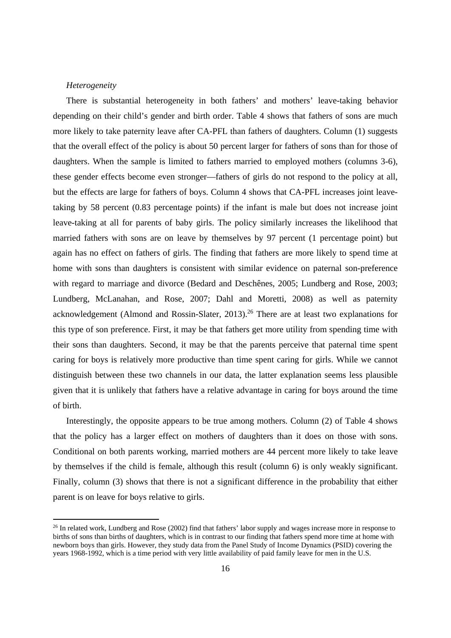#### *Heterogeneity*

There is substantial heterogeneity in both fathers' and mothers' leave-taking behavior depending on their child's gender and birth order. Table 4 shows that fathers of sons are much more likely to take paternity leave after CA-PFL than fathers of daughters. Column (1) suggests that the overall effect of the policy is about 50 percent larger for fathers of sons than for those of daughters. When the sample is limited to fathers married to employed mothers (columns 3-6), these gender effects become even stronger—fathers of girls do not respond to the policy at all, but the effects are large for fathers of boys. Column 4 shows that CA-PFL increases joint leavetaking by 58 percent (0.83 percentage points) if the infant is male but does not increase joint leave-taking at all for parents of baby girls. The policy similarly increases the likelihood that married fathers with sons are on leave by themselves by 97 percent (1 percentage point) but again has no effect on fathers of girls. The finding that fathers are more likely to spend time at home with sons than daughters is consistent with similar evidence on paternal son-preference with regard to marriage and divorce (Bedard and Deschênes, 2005; Lundberg and Rose, 2003; Lundberg, McLanahan, and Rose, 2007; Dahl and Moretti, 2008) as well as paternity acknowledgement (Almond and Rossin-Slater, 2013).<sup>26</sup> There are at least two explanations for this type of son preference. First, it may be that fathers get more utility from spending time with their sons than daughters. Second, it may be that the parents perceive that paternal time spent caring for boys is relatively more productive than time spent caring for girls. While we cannot distinguish between these two channels in our data, the latter explanation seems less plausible given that it is unlikely that fathers have a relative advantage in caring for boys around the time of birth.

Interestingly, the opposite appears to be true among mothers. Column (2) of Table 4 shows that the policy has a larger effect on mothers of daughters than it does on those with sons. Conditional on both parents working, married mothers are 44 percent more likely to take leave by themselves if the child is female, although this result (column 6) is only weakly significant. Finally, column (3) shows that there is not a significant difference in the probability that either parent is on leave for boys relative to girls.

<sup>&</sup>lt;sup>26</sup> In related work, Lundberg and Rose (2002) find that fathers' labor supply and wages increase more in response to births of sons than births of daughters, which is in contrast to our finding that fathers spend more time at home with newborn boys than girls. However, they study data from the Panel Study of Income Dynamics (PSID) covering the years 1968-1992, which is a time period with very little availability of paid family leave for men in the U.S.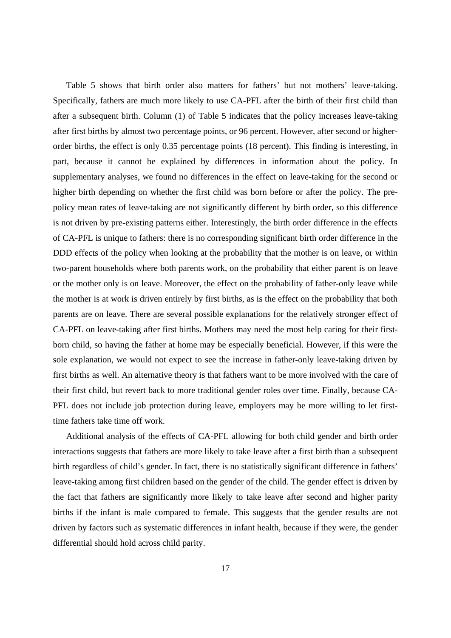Table 5 shows that birth order also matters for fathers' but not mothers' leave-taking. Specifically, fathers are much more likely to use CA-PFL after the birth of their first child than after a subsequent birth. Column (1) of Table 5 indicates that the policy increases leave-taking after first births by almost two percentage points, or 96 percent. However, after second or higherorder births, the effect is only 0.35 percentage points (18 percent). This finding is interesting, in part, because it cannot be explained by differences in information about the policy. In supplementary analyses, we found no differences in the effect on leave-taking for the second or higher birth depending on whether the first child was born before or after the policy. The prepolicy mean rates of leave-taking are not significantly different by birth order, so this difference is not driven by pre-existing patterns either. Interestingly, the birth order difference in the effects of CA-PFL is unique to fathers: there is no corresponding significant birth order difference in the DDD effects of the policy when looking at the probability that the mother is on leave, or within two-parent households where both parents work, on the probability that either parent is on leave or the mother only is on leave. Moreover, the effect on the probability of father-only leave while the mother is at work is driven entirely by first births, as is the effect on the probability that both parents are on leave. There are several possible explanations for the relatively stronger effect of CA-PFL on leave-taking after first births. Mothers may need the most help caring for their firstborn child, so having the father at home may be especially beneficial. However, if this were the sole explanation, we would not expect to see the increase in father-only leave-taking driven by first births as well. An alternative theory is that fathers want to be more involved with the care of their first child, but revert back to more traditional gender roles over time. Finally, because CA-PFL does not include job protection during leave, employers may be more willing to let firsttime fathers take time off work.

Additional analysis of the effects of CA-PFL allowing for both child gender and birth order interactions suggests that fathers are more likely to take leave after a first birth than a subsequent birth regardless of child's gender. In fact, there is no statistically significant difference in fathers' leave-taking among first children based on the gender of the child. The gender effect is driven by the fact that fathers are significantly more likely to take leave after second and higher parity births if the infant is male compared to female. This suggests that the gender results are not driven by factors such as systematic differences in infant health, because if they were, the gender differential should hold across child parity.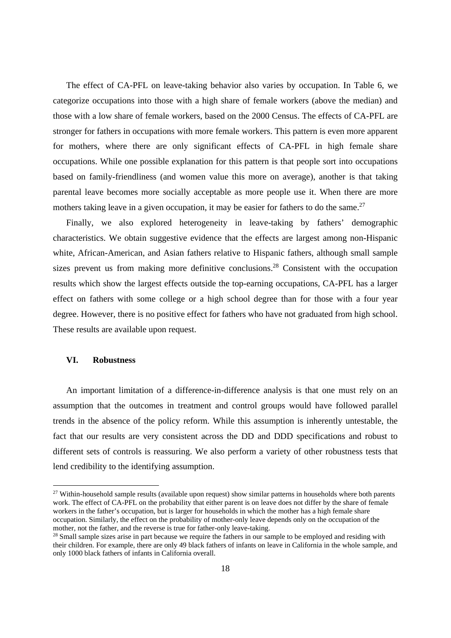The effect of CA-PFL on leave-taking behavior also varies by occupation. In Table 6, we categorize occupations into those with a high share of female workers (above the median) and those with a low share of female workers, based on the 2000 Census. The effects of CA-PFL are stronger for fathers in occupations with more female workers. This pattern is even more apparent for mothers, where there are only significant effects of CA-PFL in high female share occupations. While one possible explanation for this pattern is that people sort into occupations based on family-friendliness (and women value this more on average), another is that taking parental leave becomes more socially acceptable as more people use it. When there are more mothers taking leave in a given occupation, it may be easier for fathers to do the same.<sup>27</sup>

Finally, we also explored heterogeneity in leave-taking by fathers' demographic characteristics. We obtain suggestive evidence that the effects are largest among non-Hispanic white, African-American, and Asian fathers relative to Hispanic fathers, although small sample sizes prevent us from making more definitive conclusions.<sup>28</sup> Consistent with the occupation results which show the largest effects outside the top-earning occupations, CA-PFL has a larger effect on fathers with some college or a high school degree than for those with a four year degree. However, there is no positive effect for fathers who have not graduated from high school. These results are available upon request.

#### **VI. Robustness**

An important limitation of a difference-in-difference analysis is that one must rely on an assumption that the outcomes in treatment and control groups would have followed parallel trends in the absence of the policy reform. While this assumption is inherently untestable, the fact that our results are very consistent across the DD and DDD specifications and robust to different sets of controls is reassuring. We also perform a variety of other robustness tests that lend credibility to the identifying assumption.

<sup>&</sup>lt;sup>27</sup> Within-household sample results (available upon request) show similar patterns in households where both parents work. The effect of CA-PFL on the probability that either parent is on leave does not differ by the share of female workers in the father's occupation, but is larger for households in which the mother has a high female share occupation. Similarly, the effect on the probability of mother-only leave depends only on the occupation of the mother, not the father, and the reverse is true for father-only leave-taking.

<sup>&</sup>lt;sup>28</sup> Small sample sizes arise in part because we require the fathers in our sample to be employed and residing with their children. For example, there are only 49 black fathers of infants on leave in California in the whole sample, and only 1000 black fathers of infants in California overall.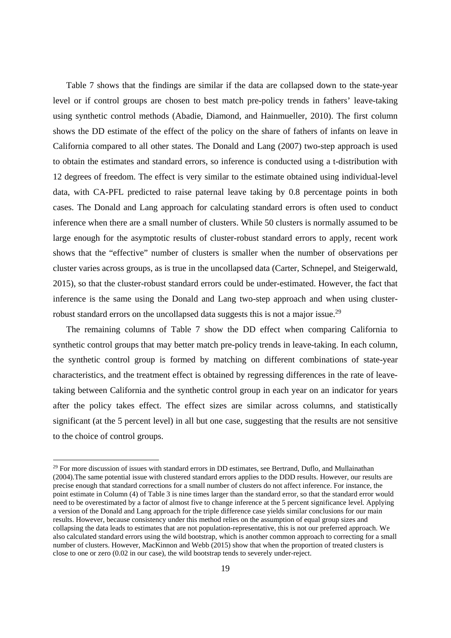Table 7 shows that the findings are similar if the data are collapsed down to the state-year level or if control groups are chosen to best match pre-policy trends in fathers' leave-taking using synthetic control methods (Abadie, Diamond, and Hainmueller, 2010). The first column shows the DD estimate of the effect of the policy on the share of fathers of infants on leave in California compared to all other states. The Donald and Lang (2007) two-step approach is used to obtain the estimates and standard errors, so inference is conducted using a t-distribution with 12 degrees of freedom. The effect is very similar to the estimate obtained using individual-level data, with CA-PFL predicted to raise paternal leave taking by 0.8 percentage points in both cases. The Donald and Lang approach for calculating standard errors is often used to conduct inference when there are a small number of clusters. While 50 clusters is normally assumed to be large enough for the asymptotic results of cluster-robust standard errors to apply, recent work shows that the "effective" number of clusters is smaller when the number of observations per cluster varies across groups, as is true in the uncollapsed data (Carter, Schnepel, and Steigerwald, 2015), so that the cluster-robust standard errors could be under-estimated. However, the fact that inference is the same using the Donald and Lang two-step approach and when using clusterrobust standard errors on the uncollapsed data suggests this is not a major issue.<sup>29</sup>

The remaining columns of Table 7 show the DD effect when comparing California to synthetic control groups that may better match pre-policy trends in leave-taking. In each column, the synthetic control group is formed by matching on different combinations of state-year characteristics, and the treatment effect is obtained by regressing differences in the rate of leavetaking between California and the synthetic control group in each year on an indicator for years after the policy takes effect. The effect sizes are similar across columns, and statistically significant (at the 5 percent level) in all but one case, suggesting that the results are not sensitive to the choice of control groups.

<sup>&</sup>lt;sup>29</sup> For more discussion of issues with standard errors in DD estimates, see Bertrand, Duflo, and Mullainathan (2004).The same potential issue with clustered standard errors applies to the DDD results. However, our results are precise enough that standard corrections for a small number of clusters do not affect inference. For instance, the point estimate in Column (4) of Table 3 is nine times larger than the standard error, so that the standard error would need to be overestimated by a factor of almost five to change inference at the 5 percent significance level. Applying a version of the Donald and Lang approach for the triple difference case yields similar conclusions for our main results. However, because consistency under this method relies on the assumption of equal group sizes and collapsing the data leads to estimates that are not population-representative, this is not our preferred approach. We also calculated standard errors using the wild bootstrap, which is another common approach to correcting for a small number of clusters. However, MacKinnon and Webb (2015) show that when the proportion of treated clusters is close to one or zero (0.02 in our case), the wild bootstrap tends to severely under-reject.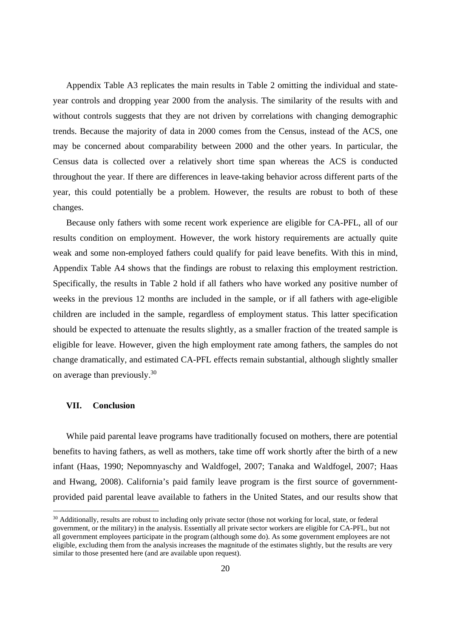Appendix Table A3 replicates the main results in Table 2 omitting the individual and stateyear controls and dropping year 2000 from the analysis. The similarity of the results with and without controls suggests that they are not driven by correlations with changing demographic trends. Because the majority of data in 2000 comes from the Census, instead of the ACS, one may be concerned about comparability between 2000 and the other years. In particular, the Census data is collected over a relatively short time span whereas the ACS is conducted throughout the year. If there are differences in leave-taking behavior across different parts of the year, this could potentially be a problem. However, the results are robust to both of these changes.

Because only fathers with some recent work experience are eligible for CA-PFL, all of our results condition on employment. However, the work history requirements are actually quite weak and some non-employed fathers could qualify for paid leave benefits. With this in mind, Appendix Table A4 shows that the findings are robust to relaxing this employment restriction. Specifically, the results in Table 2 hold if all fathers who have worked any positive number of weeks in the previous 12 months are included in the sample, or if all fathers with age-eligible children are included in the sample, regardless of employment status. This latter specification should be expected to attenuate the results slightly, as a smaller fraction of the treated sample is eligible for leave. However, given the high employment rate among fathers, the samples do not change dramatically, and estimated CA-PFL effects remain substantial, although slightly smaller on average than previously.30

#### **VII. Conclusion**

While paid parental leave programs have traditionally focused on mothers, there are potential benefits to having fathers, as well as mothers, take time off work shortly after the birth of a new infant (Haas, 1990; Nepomnyaschy and Waldfogel, 2007; Tanaka and Waldfogel, 2007; Haas and Hwang, 2008). California's paid family leave program is the first source of governmentprovided paid parental leave available to fathers in the United States, and our results show that

<sup>&</sup>lt;sup>30</sup> Additionally, results are robust to including only private sector (those not working for local, state, or federal government, or the military) in the analysis. Essentially all private sector workers are eligible for CA-PFL, but not all government employees participate in the program (although some do). As some government employees are not eligible, excluding them from the analysis increases the magnitude of the estimates slightly, but the results are very similar to those presented here (and are available upon request).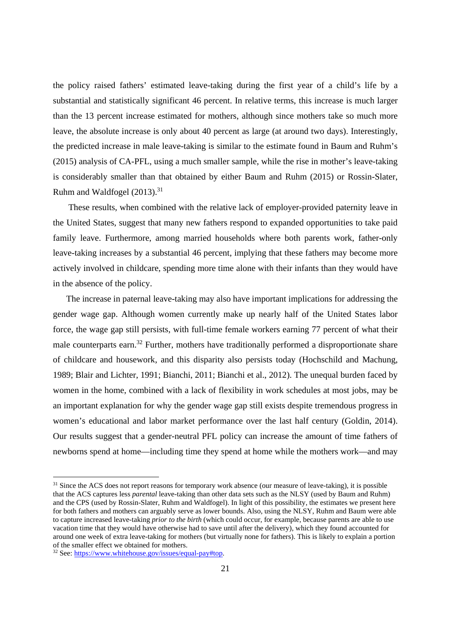the policy raised fathers' estimated leave-taking during the first year of a child's life by a substantial and statistically significant 46 percent. In relative terms, this increase is much larger than the 13 percent increase estimated for mothers, although since mothers take so much more leave, the absolute increase is only about 40 percent as large (at around two days). Interestingly, the predicted increase in male leave-taking is similar to the estimate found in Baum and Ruhm's (2015) analysis of CA-PFL, using a much smaller sample, while the rise in mother's leave-taking is considerably smaller than that obtained by either Baum and Ruhm (2015) or Rossin-Slater, Ruhm and Waldfogel (2013).<sup>31</sup>

 These results, when combined with the relative lack of employer-provided paternity leave in the United States, suggest that many new fathers respond to expanded opportunities to take paid family leave. Furthermore, among married households where both parents work, father-only leave-taking increases by a substantial 46 percent, implying that these fathers may become more actively involved in childcare, spending more time alone with their infants than they would have in the absence of the policy.

The increase in paternal leave-taking may also have important implications for addressing the gender wage gap. Although women currently make up nearly half of the United States labor force, the wage gap still persists, with full-time female workers earning 77 percent of what their male counterparts earn.<sup>32</sup> Further, mothers have traditionally performed a disproportionate share of childcare and housework, and this disparity also persists today (Hochschild and Machung, 1989; Blair and Lichter, 1991; Bianchi, 2011; Bianchi et al., 2012). The unequal burden faced by women in the home, combined with a lack of flexibility in work schedules at most jobs, may be an important explanation for why the gender wage gap still exists despite tremendous progress in women's educational and labor market performance over the last half century (Goldin, 2014). Our results suggest that a gender-neutral PFL policy can increase the amount of time fathers of newborns spend at home—including time they spend at home while the mothers work—and may

<sup>&</sup>lt;sup>31</sup> Since the ACS does not report reasons for temporary work absence (our measure of leave-taking), it is possible that the ACS captures less *parental* leave-taking than other data sets such as the NLSY (used by Baum and Ruhm) and the CPS (used by Rossin-Slater, Ruhm and Waldfogel). In light of this possibility, the estimates we present here for both fathers and mothers can arguably serve as lower bounds. Also, using the NLSY, Ruhm and Baum were able to capture increased leave-taking *prior to the birth* (which could occur, for example, because parents are able to use vacation time that they would have otherwise had to save until after the delivery), which they found accounted for around one week of extra leave-taking for mothers (but virtually none for fathers). This is likely to explain a portion of the smaller effect we obtained for mothers.

<sup>32</sup> See: https://www.whitehouse.gov/issues/equal-pay#top.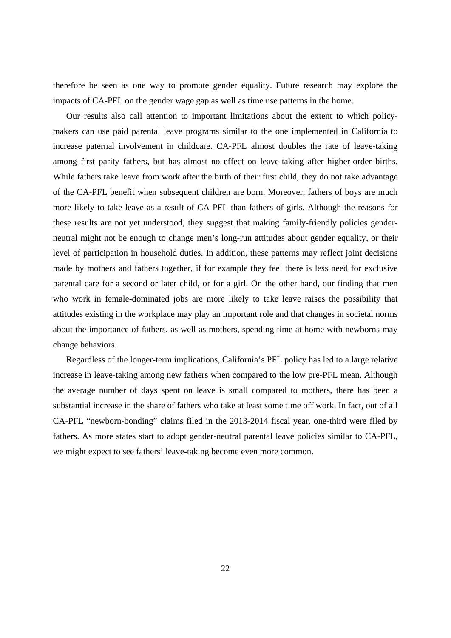therefore be seen as one way to promote gender equality. Future research may explore the impacts of CA-PFL on the gender wage gap as well as time use patterns in the home.

Our results also call attention to important limitations about the extent to which policymakers can use paid parental leave programs similar to the one implemented in California to increase paternal involvement in childcare. CA-PFL almost doubles the rate of leave-taking among first parity fathers, but has almost no effect on leave-taking after higher-order births. While fathers take leave from work after the birth of their first child, they do not take advantage of the CA-PFL benefit when subsequent children are born. Moreover, fathers of boys are much more likely to take leave as a result of CA-PFL than fathers of girls. Although the reasons for these results are not yet understood, they suggest that making family-friendly policies genderneutral might not be enough to change men's long-run attitudes about gender equality, or their level of participation in household duties. In addition, these patterns may reflect joint decisions made by mothers and fathers together, if for example they feel there is less need for exclusive parental care for a second or later child, or for a girl. On the other hand, our finding that men who work in female-dominated jobs are more likely to take leave raises the possibility that attitudes existing in the workplace may play an important role and that changes in societal norms about the importance of fathers, as well as mothers, spending time at home with newborns may change behaviors.

Regardless of the longer-term implications, California's PFL policy has led to a large relative increase in leave-taking among new fathers when compared to the low pre-PFL mean. Although the average number of days spent on leave is small compared to mothers, there has been a substantial increase in the share of fathers who take at least some time off work. In fact, out of all CA-PFL "newborn-bonding" claims filed in the 2013-2014 fiscal year, one-third were filed by fathers. As more states start to adopt gender-neutral parental leave policies similar to CA-PFL, we might expect to see fathers' leave-taking become even more common.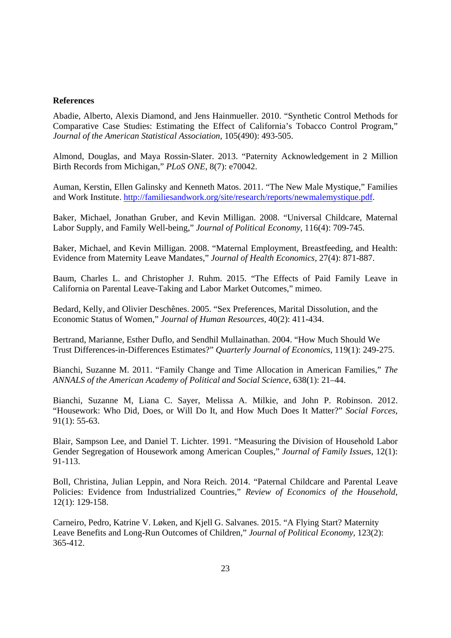#### **References**

Abadie, Alberto, Alexis Diamond, and Jens Hainmueller. 2010. "Synthetic Control Methods for Comparative Case Studies: Estimating the Effect of California's Tobacco Control Program," *Journal of the American Statistical Association*, 105(490): 493-505.

Almond, Douglas, and Maya Rossin-Slater. 2013. "Paternity Acknowledgement in 2 Million Birth Records from Michigan," *PLoS ONE*, 8(7): e70042.

Auman, Kerstin, Ellen Galinsky and Kenneth Matos. 2011. "The New Male Mystique," Families and Work Institute. http://familiesandwork.org/site/research/reports/newmalemystique.pdf.

Baker, Michael, Jonathan Gruber, and Kevin Milligan. 2008. "Universal Childcare, Maternal Labor Supply, and Family Well-being," *Journal of Political Economy*, 116(4): 709-745.

Baker, Michael, and Kevin Milligan. 2008. "Maternal Employment, Breastfeeding, and Health: Evidence from Maternity Leave Mandates," *Journal of Health Economics,* 27(4): 871-887.

Baum, Charles L. and Christopher J. Ruhm. 2015. "The Effects of Paid Family Leave in California on Parental Leave-Taking and Labor Market Outcomes," mimeo.

Bedard, Kelly, and Olivier Deschênes. 2005. "Sex Preferences, Marital Dissolution, and the Economic Status of Women," *Journal of Human Resources,* 40(2): 411-434.

Bertrand, Marianne, Esther Duflo, and Sendhil Mullainathan. 2004. "How Much Should We Trust Differences-in-Differences Estimates?" *Quarterly Journal of Economics*, 119(1): 249-275.

Bianchi, Suzanne M. 2011. "Family Change and Time Allocation in American Families," *The ANNALS of the American Academy of Political and Social Science*, 638(1): 21–44.

Bianchi, Suzanne M, Liana C. Sayer, Melissa A. Milkie, and John P. Robinson. 2012. "Housework: Who Did, Does, or Will Do It, and How Much Does It Matter?" *Social Forces*, 91(1): 55-63.

Blair, Sampson Lee, and Daniel T. Lichter. 1991. "Measuring the Division of Household Labor Gender Segregation of Housework among American Couples," *Journal of Family Issues,* 12(1): 91-113.

Boll, Christina, Julian Leppin, and Nora Reich. 2014. "Paternal Childcare and Parental Leave Policies: Evidence from Industrialized Countries," *Review of Economics of the Household*, 12(1): 129-158.

Carneiro, Pedro, Katrine V. Løken, and Kjell G. Salvanes. 2015. "A Flying Start? Maternity Leave Benefits and Long-Run Outcomes of Children," *Journal of Political Economy*, 123(2): 365-412.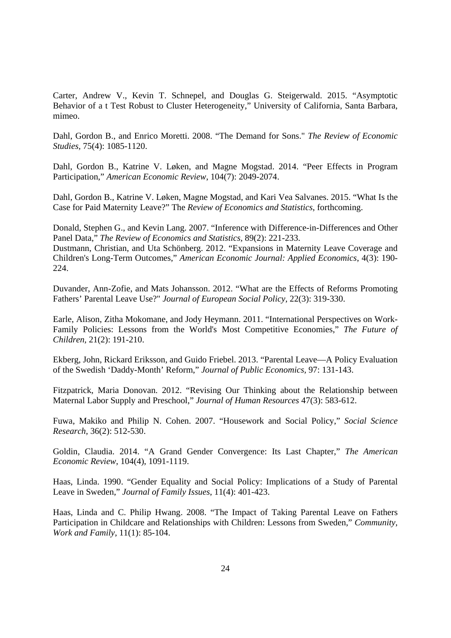Carter, Andrew V., Kevin T. Schnepel, and Douglas G. Steigerwald. 2015. "Asymptotic Behavior of a t Test Robust to Cluster Heterogeneity," University of California, Santa Barbara, mimeo.

Dahl, Gordon B., and Enrico Moretti. 2008. "The Demand for Sons." *The Review of Economic Studies,* 75(4): 1085-1120.

Dahl, Gordon B., Katrine V. Løken, and Magne Mogstad. 2014. "Peer Effects in Program Participation," *American Economic Review*, 104(7): 2049-2074.

Dahl, Gordon B., Katrine V. Løken, Magne Mogstad, and Kari Vea Salvanes. 2015. "What Is the Case for Paid Maternity Leave?" The *Review of Economics and Statistics*, forthcoming.

Donald, Stephen G., and Kevin Lang. 2007. "Inference with Difference-in-Differences and Other Panel Data," *The Review of Economics and Statistics,* 89(2): 221-233.

Dustmann, Christian, and Uta Schönberg. 2012. "Expansions in Maternity Leave Coverage and Children's Long-Term Outcomes," *American Economic Journal: Applied Economics*, 4(3): 190- 224.

Duvander, Ann-Zofie, and Mats Johansson. 2012. "What are the Effects of Reforms Promoting Fathers' Parental Leave Use?" *Journal of European Social Policy,* 22(3): 319-330.

Earle, Alison, Zitha Mokomane, and Jody Heymann. 2011. "International Perspectives on Work-Family Policies: Lessons from the World's Most Competitive Economies," *The Future of Children,* 21(2): 191-210.

Ekberg, John, Rickard Eriksson, and Guido Friebel. 2013. "Parental Leave—A Policy Evaluation of the Swedish 'Daddy-Month' Reform," *Journal of Public Economics,* 97: 131-143.

Fitzpatrick, Maria Donovan. 2012. "Revising Our Thinking about the Relationship between Maternal Labor Supply and Preschool," *Journal of Human Resources* 47(3): 583-612.

Fuwa, Makiko and Philip N. Cohen. 2007. "Housework and Social Policy," *Social Science Research*, 36(2): 512-530.

Goldin, Claudia. 2014. "A Grand Gender Convergence: Its Last Chapter," *The American Economic Review*, 104(4), 1091-1119.

Haas, Linda. 1990. "Gender Equality and Social Policy: Implications of a Study of Parental Leave in Sweden," *Journal of Family Issues*, 11(4): 401-423.

Haas, Linda and C. Philip Hwang. 2008. "The Impact of Taking Parental Leave on Fathers Participation in Childcare and Relationships with Children: Lessons from Sweden," *Community, Work and Family*, 11(1): 85-104.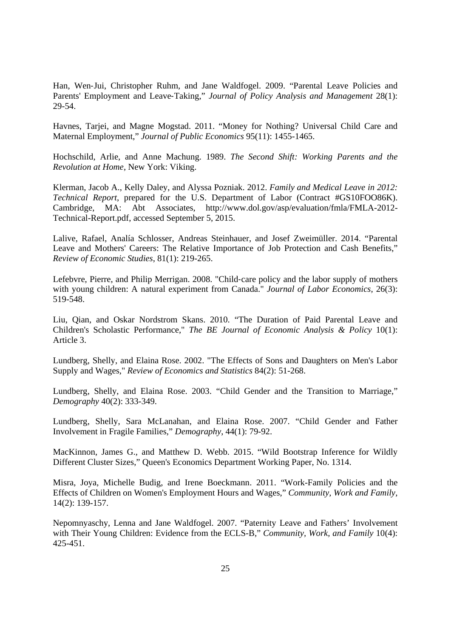Han, Wen‐Jui, Christopher Ruhm, and Jane Waldfogel. 2009. "Parental Leave Policies and Parents' Employment and Leave‐Taking," *Journal of Policy Analysis and Management* 28(1): 29-54.

Havnes, Tarjei, and Magne Mogstad. 2011. "Money for Nothing? Universal Child Care and Maternal Employment," *Journal of Public Economics* 95(11): 1455-1465.

Hochschild, Arlie, and Anne Machung. 1989. *The Second Shift: Working Parents and the Revolution at Home*, New York: Viking.

Klerman, Jacob A., Kelly Daley, and Alyssa Pozniak. 2012. *Family and Medical Leave in 2012: Technical Report*, prepared for the U.S. Department of Labor (Contract #GS10FOO86K). Cambridge, MA: Abt Associates, http://www.dol.gov/asp/evaluation/fmla/FMLA-2012- Technical-Report.pdf, accessed September 5, 2015.

Lalive, Rafael, Analía Schlosser, Andreas Steinhauer, and Josef Zweimüller. 2014. "Parental Leave and Mothers' Careers: The Relative Importance of Job Protection and Cash Benefits," *Review of Economic Studies*, 81(1): 219-265.

Lefebvre, Pierre, and Philip Merrigan. 2008. "Child‐care policy and the labor supply of mothers with young children: A natural experiment from Canada." *Journal of Labor Economics,* 26(3): 519-548.

Liu, Qian, and Oskar Nordstrom Skans. 2010. "The Duration of Paid Parental Leave and Children's Scholastic Performance," *The BE Journal of Economic Analysis & Policy* 10(1): Article 3.

Lundberg, Shelly, and Elaina Rose. 2002. "The Effects of Sons and Daughters on Men's Labor Supply and Wages," *Review of Economics and Statistics* 84(2): 51-268.

Lundberg, Shelly, and Elaina Rose. 2003. "Child Gender and the Transition to Marriage," *Demography* 40(2): 333-349.

Lundberg, Shelly, Sara McLanahan, and Elaina Rose. 2007. "Child Gender and Father Involvement in Fragile Families," *Demography*, 44(1): 79-92.

MacKinnon, James G., and Matthew D. Webb. 2015. "Wild Bootstrap Inference for Wildly Different Cluster Sizes," Queen's Economics Department Working Paper, No. 1314.

Misra, Joya, Michelle Budig, and Irene Boeckmann. 2011. "Work-Family Policies and the Effects of Children on Women's Employment Hours and Wages," *Community, Work and Family,* 14(2): 139-157.

Nepomnyaschy, Lenna and Jane Waldfogel. 2007. "Paternity Leave and Fathers' Involvement with Their Young Children: Evidence from the ECLS-B," *Community, Work, and Family* 10(4): 425-451.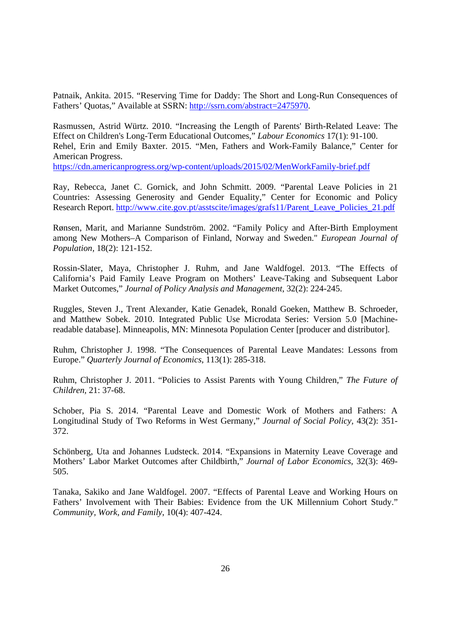Patnaik, Ankita. 2015. "Reserving Time for Daddy: The Short and Long-Run Consequences of Fathers' Quotas," Available at SSRN: http://ssrn.com/abstract=2475970.

Rasmussen, Astrid Würtz. 2010. "Increasing the Length of Parents' Birth-Related Leave: The Effect on Children's Long-Term Educational Outcomes," *Labour Economics* 17(1): 91-100. Rehel, Erin and Emily Baxter. 2015. "Men, Fathers and Work-Family Balance," Center for American Progress.

https://cdn.americanprogress.org/wp-content/uploads/2015/02/MenWorkFamily-brief.pdf

Ray, Rebecca, Janet C. Gornick, and John Schmitt. 2009. "Parental Leave Policies in 21 Countries: Assessing Generosity and Gender Equality," Center for Economic and Policy Research Report. http://www.cite.gov.pt/asstscite/images/grafs11/Parent\_Leave\_Policies\_21.pdf

Rønsen, Marit, and Marianne Sundström. 2002. "Family Policy and After-Birth Employment among New Mothers–A Comparison of Finland, Norway and Sweden." *European Journal of Population,* 18(2): 121-152.

Rossin-Slater, Maya, Christopher J. Ruhm, and Jane Waldfogel. 2013. "The Effects of California's Paid Family Leave Program on Mothers' Leave-Taking and Subsequent Labor Market Outcomes," *Journal of Policy Analysis and Management*, 32(2): 224-245.

Ruggles, Steven J., Trent Alexander, Katie Genadek, Ronald Goeken, Matthew B. Schroeder, and Matthew Sobek. 2010. Integrated Public Use Microdata Series: Version 5.0 [Machinereadable database]. Minneapolis, MN: Minnesota Population Center [producer and distributor].

Ruhm, Christopher J. 1998. "The Consequences of Parental Leave Mandates: Lessons from Europe." *Quarterly Journal of Economics*, 113(1): 285-318.

Ruhm, Christopher J. 2011. "Policies to Assist Parents with Young Children," *The Future of Children,* 21: 37-68.

Schober, Pia S. 2014. "Parental Leave and Domestic Work of Mothers and Fathers: A Longitudinal Study of Two Reforms in West Germany," *Journal of Social Policy,* 43(2): 351- 372.

Schönberg, Uta and Johannes Ludsteck. 2014. "Expansions in Maternity Leave Coverage and Mothers' Labor Market Outcomes after Childbirth," *Journal of Labor Economics,* 32(3): 469- 505.

Tanaka, Sakiko and Jane Waldfogel. 2007. "Effects of Parental Leave and Working Hours on Fathers' Involvement with Their Babies: Evidence from the UK Millennium Cohort Study." *Community, Work, and Family*, 10(4): 407-424.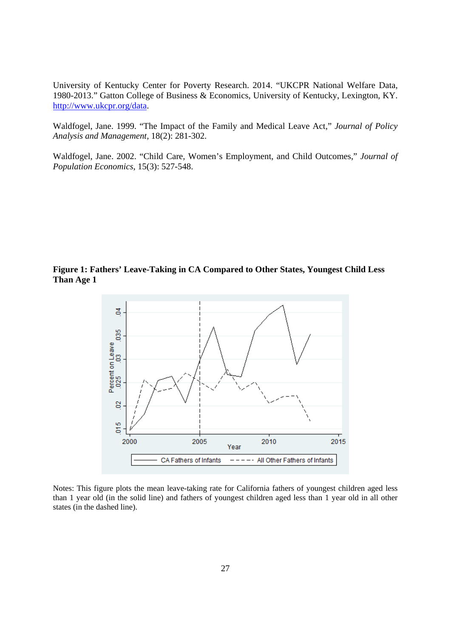University of Kentucky Center for Poverty Research. 2014. "UKCPR National Welfare Data, 1980-2013." Gatton College of Business & Economics, University of Kentucky, Lexington, KY. http://www.ukcpr.org/data.

Waldfogel, Jane. 1999. "The Impact of the Family and Medical Leave Act," *Journal of Policy Analysis and Management,* 18(2): 281-302.

Waldfogel, Jane. 2002. "Child Care, Women's Employment, and Child Outcomes," *Journal of Population Economics*, 15(3): 527-548.

**Figure 1: Fathers' Leave-Taking in CA Compared to Other States, Youngest Child Less Than Age 1** 



Notes: This figure plots the mean leave-taking rate for California fathers of youngest children aged less than 1 year old (in the solid line) and fathers of youngest children aged less than 1 year old in all other states (in the dashed line).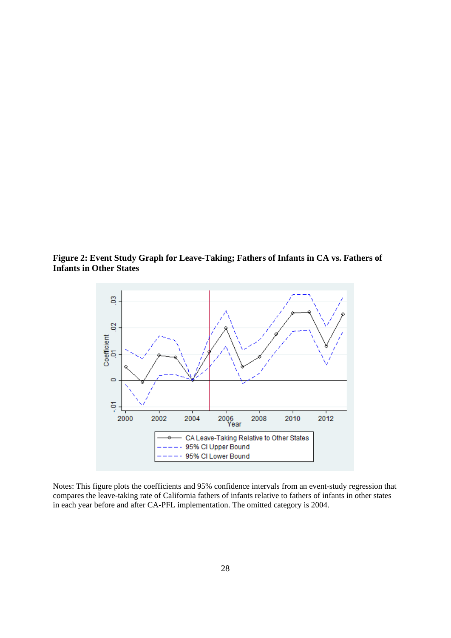**Figure 2: Event Study Graph for Leave-Taking; Fathers of Infants in CA vs. Fathers of Infants in Other States** 



Notes: This figure plots the coefficients and 95% confidence intervals from an event-study regression that compares the leave-taking rate of California fathers of infants relative to fathers of infants in other states in each year before and after CA-PFL implementation. The omitted category is 2004.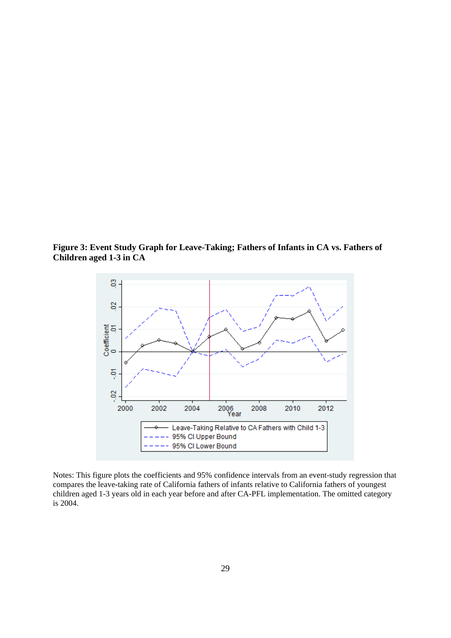**Figure 3: Event Study Graph for Leave-Taking; Fathers of Infants in CA vs. Fathers of Children aged 1-3 in CA** 



Notes: This figure plots the coefficients and 95% confidence intervals from an event-study regression that compares the leave-taking rate of California fathers of infants relative to California fathers of youngest children aged 1-3 years old in each year before and after CA-PFL implementation. The omitted category is 2004.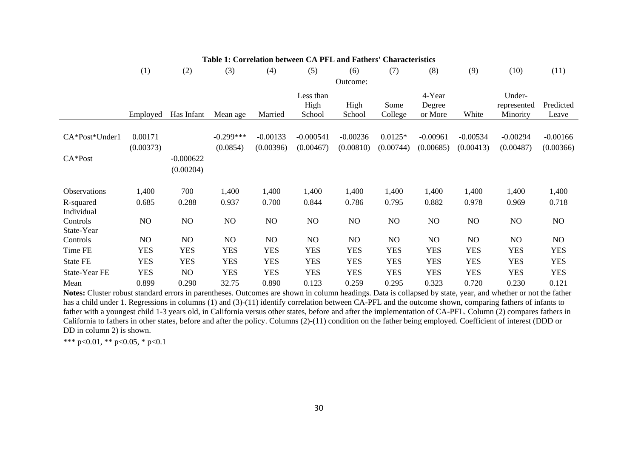|                 | Table 1: Correlation between CA PFL and Fathers' Characteristics |                |                |                |                |                |            |                |                |             |                |  |  |  |
|-----------------|------------------------------------------------------------------|----------------|----------------|----------------|----------------|----------------|------------|----------------|----------------|-------------|----------------|--|--|--|
|                 | (1)                                                              | (2)            | (3)            | (4)            | (5)            | (6)            | (7)        | (8)            | (9)            | (10)        | (11)           |  |  |  |
|                 |                                                                  |                |                |                |                | Outcome:       |            |                |                |             |                |  |  |  |
|                 |                                                                  |                |                |                | Less than      |                |            | 4-Year         |                | Under-      |                |  |  |  |
|                 |                                                                  |                |                |                | High           | High           | Some       | Degree         |                | represented | Predicted      |  |  |  |
|                 | Employed                                                         | Has Infant     | Mean age       | Married        | School         | School         | College    | or More        | White          | Minority    | Leave          |  |  |  |
|                 |                                                                  |                |                |                |                |                |            |                |                |             |                |  |  |  |
| CA*Post*Under1  | 0.00171                                                          |                | $-0.299***$    | $-0.00133$     | $-0.000541$    | $-0.00236$     | $0.0125*$  | $-0.00961$     | $-0.00534$     | $-0.00294$  | $-0.00166$     |  |  |  |
|                 | (0.00373)                                                        |                | (0.0854)       | (0.00396)      | (0.00467)      | (0.00810)      | (0.00744)  | (0.00685)      | (0.00413)      | (0.00487)   | (0.00366)      |  |  |  |
| $CA*Post$       |                                                                  | $-0.000622$    |                |                |                |                |            |                |                |             |                |  |  |  |
|                 |                                                                  | (0.00204)      |                |                |                |                |            |                |                |             |                |  |  |  |
|                 |                                                                  |                |                |                |                |                |            |                |                |             |                |  |  |  |
| Observations    | 1,400                                                            | 700            | 1,400          | 1,400          | 1,400          | 1,400          | 1,400      | 1,400          | 1,400          | 1,400       | 1,400          |  |  |  |
| R-squared       | 0.685                                                            | 0.288          | 0.937          | 0.700          | 0.844          | 0.786          | 0.795      | 0.882          | 0.978          | 0.969       | 0.718          |  |  |  |
| Individual      |                                                                  |                |                |                |                |                |            |                |                |             |                |  |  |  |
| Controls        | N <sub>O</sub>                                                   | NO             | N <sub>O</sub> | N <sub>O</sub> | N <sub>O</sub> | N <sub>O</sub> | NO         | N <sub>O</sub> | NO             | NO          | N <sub>O</sub> |  |  |  |
| State-Year      |                                                                  |                |                |                |                |                |            |                |                |             |                |  |  |  |
| Controls        | N <sub>O</sub>                                                   | N <sub>O</sub> | N <sub>O</sub> | N <sub>O</sub> | N <sub>O</sub> | N <sub>O</sub> | NO         | N <sub>O</sub> | N <sub>O</sub> | NO          | N <sub>O</sub> |  |  |  |
| Time FE         | <b>YES</b>                                                       | <b>YES</b>     | YES            | <b>YES</b>     | <b>YES</b>     | <b>YES</b>     | <b>YES</b> | <b>YES</b>     | <b>YES</b>     | <b>YES</b>  | <b>YES</b>     |  |  |  |
| <b>State FE</b> | <b>YES</b>                                                       | <b>YES</b>     | <b>YES</b>     | <b>YES</b>     | <b>YES</b>     | <b>YES</b>     | <b>YES</b> | <b>YES</b>     | <b>YES</b>     | <b>YES</b>  | <b>YES</b>     |  |  |  |
| State-Year FE   | <b>YES</b>                                                       | NO             | <b>YES</b>     | <b>YES</b>     | <b>YES</b>     | <b>YES</b>     | <b>YES</b> | <b>YES</b>     | <b>YES</b>     | <b>YES</b>  | <b>YES</b>     |  |  |  |
| Mean            | 0.899                                                            | 0.290          | 32.75          | 0.890          | 0.123          | 0.259          | 0.295      | 0.323          | 0.720          | 0.230       | 0.121          |  |  |  |

**Notes:** Cluster robust standard errors in parentheses. Outcomes are shown in column headings. Data is collapsed by state, year, and whether or not the father has a child under 1. Regressions in columns (1) and (3)-(11) identify correlation between CA-PFL and the outcome shown, comparing fathers of infants to father with a youngest child 1-3 years old, in California versus other states, before and after the implementation of CA-PFL. Column (2) compares fathers in California to fathers in other states, before and after the policy. Columns (2)-(11) condition on the father being employed. Coefficient of interest (DDD or DD in column 2) is shown.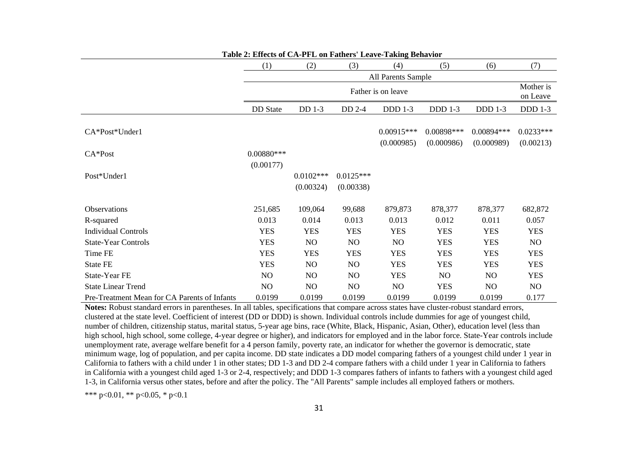|                                              | (1)             | (2)            | (3)            | (4)                | (5)            | (6)            | (7)                   |
|----------------------------------------------|-----------------|----------------|----------------|--------------------|----------------|----------------|-----------------------|
|                                              |                 |                |                | All Parents Sample |                |                |                       |
|                                              |                 |                |                | Father is on leave |                |                | Mother is<br>on Leave |
|                                              | <b>DD</b> State | DD 1-3         | DD 2-4         | <b>DDD</b> 1-3     | <b>DDD</b> 1-3 | <b>DDD</b> 1-3 | <b>DDD</b> 1-3        |
|                                              |                 |                |                |                    |                |                |                       |
| CA*Post*Under1                               |                 |                |                | $0.00915***$       | 0.00898***     | 0.00894***     | $0.0233***$           |
|                                              |                 |                |                | (0.000985)         | (0.000986)     | (0.000989)     | (0.00213)             |
| $CA*Post$                                    | $0.00880***$    |                |                |                    |                |                |                       |
|                                              | (0.00177)       |                |                |                    |                |                |                       |
| Post*Under1                                  |                 | $0.0102***$    | $0.0125***$    |                    |                |                |                       |
|                                              |                 | (0.00324)      | (0.00338)      |                    |                |                |                       |
| Observations                                 | 251,685         | 109,064        | 99,688         | 879,873            | 878,377        | 878,377        | 682,872               |
| R-squared                                    | 0.013           | 0.014          | 0.013          | 0.013              | 0.012          | 0.011          | 0.057                 |
| <b>Individual Controls</b>                   | <b>YES</b>      | <b>YES</b>     | <b>YES</b>     | <b>YES</b>         | <b>YES</b>     | <b>YES</b>     | <b>YES</b>            |
| <b>State-Year Controls</b>                   | <b>YES</b>      | N <sub>O</sub> | N <sub>O</sub> | N <sub>O</sub>     | <b>YES</b>     | <b>YES</b>     | NO.                   |
| Time FE                                      | <b>YES</b>      | <b>YES</b>     | <b>YES</b>     | <b>YES</b>         | <b>YES</b>     | <b>YES</b>     | <b>YES</b>            |
| State FE                                     | <b>YES</b>      | NO             | NO             | <b>YES</b>         | <b>YES</b>     | <b>YES</b>     | <b>YES</b>            |
| State-Year FE                                | N <sub>O</sub>  | NO             | N <sub>O</sub> | <b>YES</b>         | NO             | N <sub>O</sub> | <b>YES</b>            |
| <b>State Linear Trend</b>                    | NO.             | NO.            | N <sub>O</sub> | N <sub>O</sub>     | <b>YES</b>     | N <sub>O</sub> | NO                    |
| Pre-Treatment Mean for CA Parents of Infants | 0.0199          | 0.0199         | 0.0199         | 0.0199             | 0.0199         | 0.0199         | 0.177                 |

**Table 2: Effects of CA-PFL on Fathers' Leave-Taking Behavior** 

**Notes:** Robust standard errors in parentheses. In all tables, specifications that compare across states have cluster-robust standard errors, clustered at the state level. Coefficient of interest (DD or DDD) is shown. Individual controls include dummies for age of youngest child, number of children, citizenship status, marital status, 5-year age bins, race (White, Black, Hispanic, Asian, Other), education level (less than high school, high school, some college, 4-year degree or higher), and indicators for employed and in the labor force. State-Year controls include unemployment rate, average welfare benefit for a 4 person family, poverty rate, an indicator for whether the governor is democratic, state minimum wage, log of population, and per capita income. DD state indicates a DD model comparing fathers of a youngest child under 1 year in California to fathers with a child under 1 in other states; DD 1-3 and DD 2-4 compare fathers with a child under 1 year in California to fathers in California with a youngest child aged 1-3 or 2-4, respectively; and DDD 1-3 compares fathers of infants to fathers with a youngest child aged 1-3, in California versus other states, before and after the policy. The "All Parents" sample includes all employed fathers or mothers.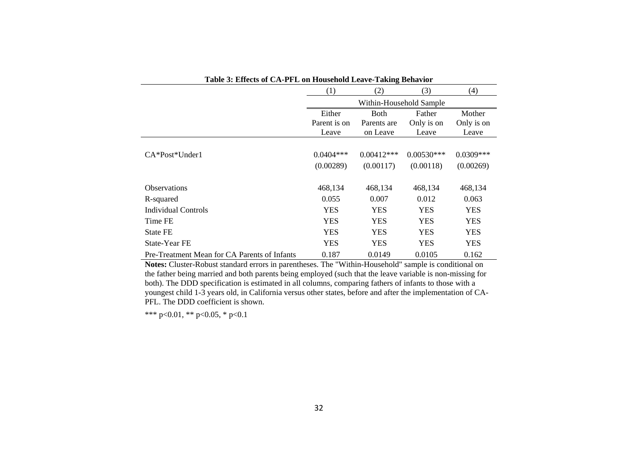| Table 3: Effects of CA-PFL on Household Leave-Taking Behavior |                       |                         |                         |                     |
|---------------------------------------------------------------|-----------------------|-------------------------|-------------------------|---------------------|
|                                                               | (1)                   | (2)                     | (3)                     | (4)                 |
|                                                               |                       |                         | Within-Household Sample |                     |
|                                                               | Either                | <b>Both</b>             | Father                  | Mother              |
|                                                               | Parent is on<br>Leave | Parents are<br>on Leave | Only is on<br>Leave     | Only is on<br>Leave |
| $CA*Post*Under1$                                              | $0.0404***$           | $0.00412***$            | $0.00530***$            | $0.0309***$         |
|                                                               | (0.00289)             | (0.00117)               | (0.00118)               | (0.00269)           |
| <b>Observations</b>                                           | 468,134               | 468,134                 | 468,134                 | 468,134             |
| R-squared                                                     | 0.055                 | 0.007                   | 0.012                   | 0.063               |
| <b>Individual Controls</b>                                    | <b>YES</b>            | <b>YES</b>              | <b>YES</b>              | <b>YES</b>          |
| Time FE                                                       | <b>YES</b>            | <b>YES</b>              | <b>YES</b>              | <b>YES</b>          |
| <b>State FE</b>                                               | <b>YES</b>            | <b>YES</b>              | <b>YES</b>              | <b>YES</b>          |
| State-Year FE                                                 | <b>YES</b>            | <b>YES</b>              | <b>YES</b>              | <b>YES</b>          |
| Pre-Treatment Mean for CA Parents of Infants                  | 0.187                 | 0.0149                  | 0.0105                  | 0.162               |

Pre-Treatment Mean for CA Parents of Infants  $0.187$  0.0149 0.0105 0.162<br>**Notes:** Cluster-Robust standard errors in parentheses. The "Within-Household" sample is conditional on the father being married and both parents being employed (such that the leave variable is non-missing for both). The DDD specification is estimated in all columns, comparing fathers of infants to those with a youngest child 1-3 years old, in California versus other states, before and after the implementation of CA-PFL. The DDD coefficient is shown.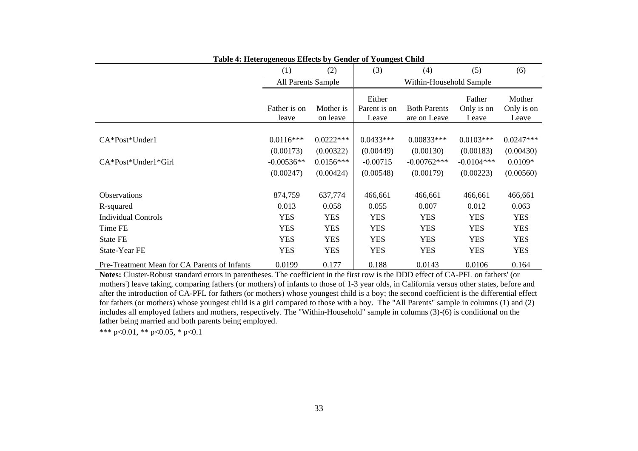| Tuble is Herefore theous Effects by Genuer of Toungest China |                           |                          |                                 |                                     |                               |                               |
|--------------------------------------------------------------|---------------------------|--------------------------|---------------------------------|-------------------------------------|-------------------------------|-------------------------------|
|                                                              | (1)                       | (2)                      | (3)                             | (4)                                 | (5)                           | (6)                           |
|                                                              | <b>All Parents Sample</b> |                          |                                 | Within-Household Sample             |                               |                               |
|                                                              | Father is on<br>leave     | Mother is<br>on leave    | Either<br>Parent is on<br>Leave | <b>Both Parents</b><br>are on Leave | Father<br>Only is on<br>Leave | Mother<br>Only is on<br>Leave |
| $CA*Post*Under1$                                             | $0.0116***$<br>(0.00173)  | $0.0222***$<br>(0.00322) | $0.0433***$<br>(0.00449)        | $0.00833***$<br>(0.00130)           | $0.0103***$<br>(0.00183)      | $0.0247***$<br>(0.00430)      |
| $CA*Post*Under1*Girl$                                        | $-0.00536**$<br>(0.00247) | $0.0156***$<br>(0.00424) | $-0.00715$<br>(0.00548)         | $-0.00762***$<br>(0.00179)          | $-0.0104***$<br>(0.00223)     | $0.0109*$<br>(0.00560)        |
|                                                              |                           |                          |                                 |                                     |                               |                               |
| <b>Observations</b>                                          | 874,759                   | 637,774                  | 466,661                         | 466,661                             | 466,661                       | 466,661                       |
| R-squared                                                    | 0.013                     | 0.058                    | 0.055                           | 0.007                               | 0.012                         | 0.063                         |
| <b>Individual Controls</b>                                   | <b>YES</b>                | <b>YES</b>               | <b>YES</b>                      | <b>YES</b>                          | <b>YES</b>                    | <b>YES</b>                    |
| Time FE                                                      | <b>YES</b>                | <b>YES</b>               | <b>YES</b>                      | <b>YES</b>                          | <b>YES</b>                    | <b>YES</b>                    |
| <b>State FE</b>                                              | <b>YES</b>                | <b>YES</b>               | <b>YES</b>                      | <b>YES</b>                          | <b>YES</b>                    | <b>YES</b>                    |
| State-Year FE                                                | <b>YES</b>                | <b>YES</b>               | <b>YES</b>                      | <b>YES</b>                          | <b>YES</b>                    | <b>YES</b>                    |
| Pre-Treatment Mean for CA Parents of Infants                 | 0.0199                    | 0.177                    | 0.188                           | 0.0143                              | 0.0106                        | 0.164                         |

#### **Table 4: Heterogeneous Effects by Gender of Youngest Child**

**Notes:** Cluster-Robust standard errors in parentheses. The coefficient in the first row is the DDD effect of CA-PFL on fathers' (or mothers') leave taking, comparing fathers (or mothers) of infants to those of 1-3 year olds, in California versus other states, before and after the introduction of CA-PFL for fathers (or mothers) whose youngest child is a boy; the second coefficient is the differential effect for fathers (or mothers) whose youngest child is a girl compared to those with a boy. The "All Parents" sample in columns (1) and (2) includes all employed fathers and mothers, respectively. The "Within-Household" sample in columns (3)-(6) is conditional on the father being married and both parents being employed.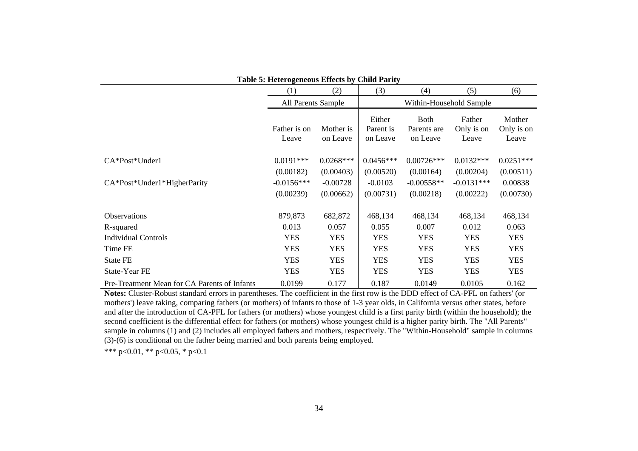|                                              | Table 5: Heterogeneous Effects by Child Parity |                         |                                 |                                        |                               |                               |
|----------------------------------------------|------------------------------------------------|-------------------------|---------------------------------|----------------------------------------|-------------------------------|-------------------------------|
|                                              | (1)                                            | (2)                     | (3)                             | (4)                                    | (5)                           | (6)                           |
|                                              | All Parents Sample                             |                         |                                 |                                        | Within-Household Sample       |                               |
|                                              | Father is on<br>Leave                          | Mother is<br>on Leave   | Either<br>Parent is<br>on Leave | <b>Both</b><br>Parents are<br>on Leave | Father<br>Only is on<br>Leave | Mother<br>Only is on<br>Leave |
| CA*Post*Under1                               | $0.0191***$                                    | $0.0268***$             | $0.0456***$                     | $0.00726***$                           | $0.0132***$                   | $0.0251***$                   |
| CA*Post*Under1*HigherParity                  | (0.00182)<br>$-0.0156***$                      | (0.00403)<br>$-0.00728$ | (0.00520)<br>$-0.0103$          | (0.00164)<br>$-0.00558**$              | (0.00204)<br>$-0.0131***$     | (0.00511)<br>0.00838          |
|                                              | (0.00239)                                      | (0.00662)               | (0.00731)                       | (0.00218)                              | (0.00222)                     | (0.00730)                     |
| Observations                                 | 879,873                                        | 682,872                 | 468,134                         | 468,134                                | 468,134                       | 468,134                       |
| R-squared                                    | 0.013                                          | 0.057                   | 0.055                           | 0.007                                  | 0.012                         | 0.063                         |
| <b>Individual Controls</b>                   | <b>YES</b>                                     | <b>YES</b>              | <b>YES</b>                      | <b>YES</b>                             | <b>YES</b>                    | <b>YES</b>                    |
| Time FE                                      | <b>YES</b>                                     | <b>YES</b>              | <b>YES</b>                      | <b>YES</b>                             | <b>YES</b>                    | <b>YES</b>                    |
| <b>State FE</b>                              | <b>YES</b>                                     | <b>YES</b>              | <b>YES</b>                      | <b>YES</b>                             | <b>YES</b>                    | <b>YES</b>                    |
| State-Year FE                                | <b>YES</b>                                     | <b>YES</b>              | <b>YES</b>                      | <b>YES</b>                             | <b>YES</b>                    | <b>YES</b>                    |
| Pre-Treatment Mean for CA Parents of Infants | 0.0199                                         | 0.177                   | 0.187                           | 0.0149                                 | 0.0105                        | 0.162                         |

**Notes:** Cluster-Robust standard errors in parentheses. The coefficient in the first row is the DDD effect of CA-PFL on fathers' (or mothers') leave taking, comparing fathers (or mothers) of infants to those of 1-3 year olds, in California versus other states, before and after the introduction of CA-PFL for fathers (or mothers) whose youngest child is a first parity birth (within the household); the second coefficient is the differential effect for fathers (or mothers) whose youngest child is a higher parity birth. The "All Parents" sample in columns (1) and (2) includes all employed fathers and mothers, respectively. The "Within-Household" sample in columns (3)-(6) is conditional on the father being married and both parents being employed.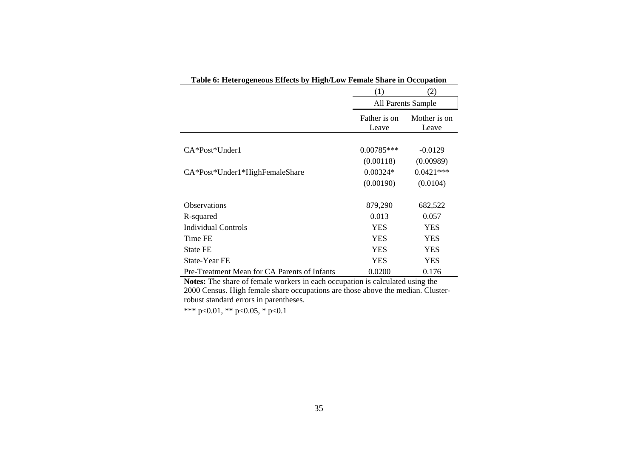| Table 6: Heterogeneous Effects by High/Low Female Share in Occupation |                       |                       |
|-----------------------------------------------------------------------|-----------------------|-----------------------|
|                                                                       | (1)                   | (2)                   |
|                                                                       |                       | All Parents Sample    |
|                                                                       | Father is on<br>Leave | Mother is on<br>Leave |
|                                                                       |                       |                       |
| $CA*Post*Under1$                                                      | $0.00785***$          | $-0.0129$             |
|                                                                       | (0.00118)             | (0.00989)             |
| CA*Post*Under1*HighFemaleShare                                        | $0.00324*$            | $0.0421***$           |
|                                                                       | (0.00190)             | (0.0104)              |
| <b>Observations</b>                                                   | 879,290               | 682,522               |
| R-squared                                                             | 0.013                 | 0.057                 |
| Individual Controls                                                   | <b>YES</b>            | YES                   |
| Time FE                                                               | <b>YES</b>            | YES                   |
| <b>State FE</b>                                                       | <b>YES</b>            | YES                   |
| <b>State-Year FE</b>                                                  | <b>YES</b>            | YES                   |
| Pre-Treatment Mean for CA Parents of Infants                          | 0.0200                | 0.176                 |

**Notes:** The share of female workers in each occupation is calculated using the 2000 Census. High female share occupations are those above the median. Clusterrobust standard errors in parentheses.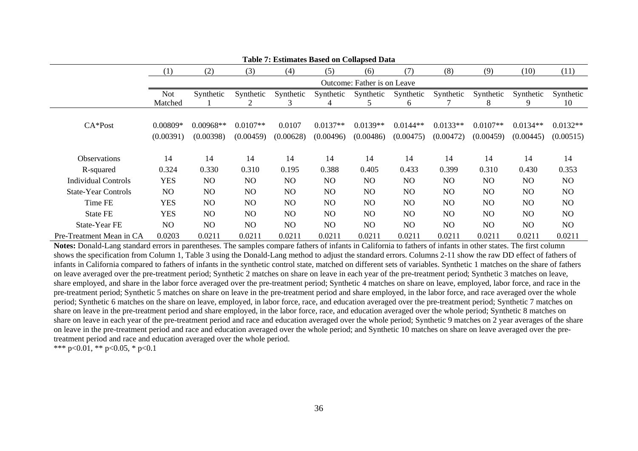|                            | Table 7: Estimates Based on Collapsed Data |                |                |                |                |                             |                |            |                |                |                |  |  |
|----------------------------|--------------------------------------------|----------------|----------------|----------------|----------------|-----------------------------|----------------|------------|----------------|----------------|----------------|--|--|
|                            | $\left(1\right)$                           | (2)            | (3)            | (4)            | (5)            | (6)                         | (7)            | (8)        | (9)            | (10)           | (11)           |  |  |
|                            |                                            |                |                |                |                | Outcome: Father is on Leave |                |            |                |                |                |  |  |
|                            | <b>Not</b>                                 | Synthetic      | Synthetic      | Synthetic      | Synthetic      | Synthetic                   | Synthetic      | Synthetic  | Synthetic      | Synthetic      | Synthetic      |  |  |
|                            | Matched                                    |                |                | 3              |                | 5.                          | 6              |            | 8              | 9              | 10             |  |  |
|                            |                                            |                |                |                |                |                             |                |            |                |                |                |  |  |
| $CA*Post$                  | $0.00809*$                                 | $0.00968**$    | $0.0107**$     | 0.0107         | $0.0137**$     | $0.0139**$                  | $0.0144**$     | $0.0133**$ | $0.0107**$     | $0.0134**$     | $0.0132**$     |  |  |
|                            | (0.00391)                                  | (0.00398)      | (0.00459)      | (0.00628)      | (0.00496)      | (0.00486)                   | (0.00475)      | (0.00472)  | (0.00459)      | (0.00445)      | (0.00515)      |  |  |
|                            |                                            |                |                |                |                |                             |                |            |                |                |                |  |  |
| <b>Observations</b>        | 14                                         | 14             | 14             | 14             | 14             | 14                          | 14             | 14         | 14             | 14             | 14             |  |  |
| R-squared                  | 0.324                                      | 0.330          | 0.310          | 0.195          | 0.388          | 0.405                       | 0.433          | 0.399      | 0.310          | 0.430          | 0.353          |  |  |
| <b>Individual Controls</b> | <b>YES</b>                                 | NO             | N <sub>O</sub> | N <sub>O</sub> | N <sub>O</sub> | N <sub>O</sub>              | NO             | NO         | N <sub>O</sub> | N <sub>O</sub> | NO.            |  |  |
| <b>State-Year Controls</b> | N <sub>O</sub>                             | NO             | N <sub>O</sub> | N <sub>O</sub> | N <sub>O</sub> | N <sub>O</sub>              | NO             | NO.        | N <sub>O</sub> | N <sub>O</sub> | N <sub>O</sub> |  |  |
| Time FE                    | <b>YES</b>                                 | NO             | N <sub>O</sub> | N <sub>O</sub> | N <sub>O</sub> | N <sub>O</sub>              | NO             | NO.        | N <sub>O</sub> | N <sub>O</sub> | NO             |  |  |
| <b>State FE</b>            | <b>YES</b>                                 | N <sub>O</sub> | NO             | NO.            | NO.            | N <sub>O</sub>              | NO             | NO.        | N <sub>O</sub> | N <sub>O</sub> | N <sub>O</sub> |  |  |
| State-Year FE              | NO.                                        | N <sub>O</sub> | N <sub>O</sub> | N <sub>O</sub> | NO.            | NO                          | N <sub>O</sub> | NO.        | NO             | N <sub>O</sub> | NO.            |  |  |
| Pre-Treatment Mean in CA   | 0.0203                                     | 0.0211         | 0.0211         | 0.0211         | 0.0211         | 0.0211                      | 0.0211         | 0.0211     | 0.0211         | 0.0211         | 0.0211         |  |  |

**Notes:** Donald-Lang standard errors in parentheses. The samples compare fathers of infants in California to fathers of infants in other states. The first column shows the specification from Column 1, Table 3 using the Donald-Lang method to adjust the standard errors. Columns 2-11 show the raw DD effect of fathers of infants in California compared to fathers of infants in the synthetic control state, matched on different sets of variables. Synthetic 1 matches on the share of fathers on leave averaged over the pre-treatment period; Synthetic 2 matches on share on leave in each year of the pre-treatment period; Synthetic 3 matches on leave, share employed, and share in the labor force averaged over the pre-treatment period; Synthetic 4 matches on share on leave, employed, labor force, and race in the pre-treatment period; Synthetic 5 matches on share on leave in the pre-treatment period and share employed, in the labor force, and race averaged over the whole period; Synthetic 6 matches on the share on leave, employed, in labor force, race, and education averaged over the pre-treatment period; Synthetic 7 matches on share on leave in the pre-treatment period and share employed, in the labor force, race, and education averaged over the whole period; Synthetic 8 matches on share on leave in each year of the pre-treatment period and race and education averaged over the whole period; Synthetic 9 matches on 2 year averages of the share on leave in the pre-treatment period and race and education averaged over the whole period; and Synthetic 10 matches on share on leave averaged over the pretreatment period and race and education averaged over the whole period.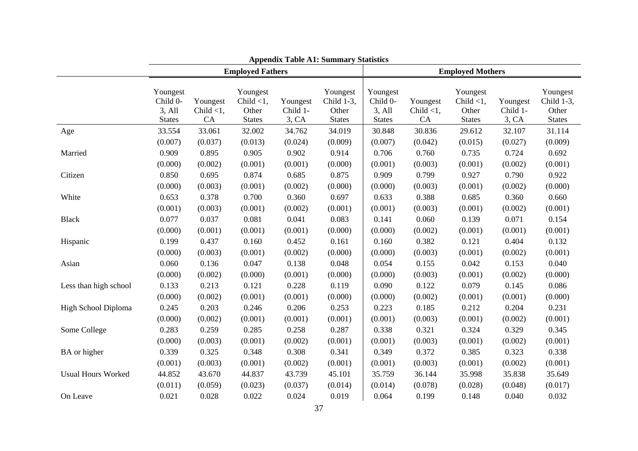|                           | <b>Appendix Table A1: Summary Statistics</b>    |                                |                                                    |                               |                                                  |                                                 |                                |                                                    |                               |                                                  |  |  |
|---------------------------|-------------------------------------------------|--------------------------------|----------------------------------------------------|-------------------------------|--------------------------------------------------|-------------------------------------------------|--------------------------------|----------------------------------------------------|-------------------------------|--------------------------------------------------|--|--|
|                           |                                                 |                                | <b>Employed Fathers</b>                            |                               |                                                  | <b>Employed Mothers</b>                         |                                |                                                    |                               |                                                  |  |  |
|                           | Youngest<br>Child 0-<br>3, All<br><b>States</b> | Youngest<br>Child $<1$ ,<br>CA | Youngest<br>Child $<$ 1,<br>Other<br><b>States</b> | Youngest<br>Child 1-<br>3, CA | Youngest<br>Child 1-3,<br>Other<br><b>States</b> | Youngest<br>Child 0-<br>3, All<br><b>States</b> | Youngest<br>Child $<$ 1,<br>CA | Youngest<br>Child $<1$ ,<br>Other<br><b>States</b> | Youngest<br>Child 1-<br>3, CA | Youngest<br>Child 1-3,<br>Other<br><b>States</b> |  |  |
| Age                       | 33.554                                          | 33.061                         | 32.002                                             | 34.762                        | 34.019                                           | 30.848                                          | 30.836                         | 29.612                                             | 32.107                        | 31.114                                           |  |  |
| Married                   | (0.007)                                         | (0.037)                        | (0.013)                                            | (0.024)                       | (0.009)                                          | (0.007)                                         | (0.042)                        | (0.015)                                            | (0.027)                       | (0.009)                                          |  |  |
|                           | 0.909                                           | 0.895                          | 0.905                                              | 0.902                         | 0.914                                            | 0.706                                           | 0.760                          | 0.735                                              | 0.724                         | 0.692                                            |  |  |
|                           | (0.000)                                         | (0.002)                        | (0.001)                                            | (0.001)                       | (0.000)                                          | (0.001)                                         | (0.003)                        | (0.001)                                            | (0.002)                       | (0.001)                                          |  |  |
| Citizen                   | 0.850                                           | 0.695                          | 0.874                                              | 0.685                         | 0.875                                            | 0.909                                           | 0.799                          | 0.927                                              | 0.790                         | 0.922                                            |  |  |
|                           | (0.000)                                         | (0.003)                        | (0.001)                                            | (0.002)                       | (0.000)                                          | (0.000)                                         | (0.003)                        | (0.001)                                            | (0.002)                       | (0.000)                                          |  |  |
| White                     | 0.653                                           | 0.378                          | 0.700                                              | 0.360                         | 0.697                                            | 0.633                                           | 0.388                          | 0.685                                              | 0.360                         | 0.660                                            |  |  |
|                           | (0.001)                                         | (0.003)                        | (0.001)                                            | (0.002)                       | (0.001)                                          | (0.001)                                         | (0.003)                        | (0.001)                                            | (0.002)                       | (0.001)                                          |  |  |
| <b>Black</b>              | 0.077                                           | 0.037                          | 0.081                                              | 0.041                         | 0.083                                            | 0.141                                           | 0.060                          | 0.139                                              | 0.071                         | 0.154                                            |  |  |
|                           | (0.000)                                         | (0.001)                        | (0.001)                                            | (0.001)                       | (0.000)                                          | (0.000)                                         | (0.002)                        | (0.001)                                            | (0.001)                       | (0.001)                                          |  |  |
| Hispanic                  | 0.199                                           | 0.437                          | 0.160                                              | 0.452                         | 0.161                                            | 0.160                                           | 0.382                          | 0.121                                              | 0.404                         | 0.132                                            |  |  |
|                           | (0.000)                                         | (0.003)                        | (0.001)                                            | (0.002)                       | (0.000)                                          | (0.000)                                         | (0.003)                        | (0.001)                                            | (0.002)                       | (0.001)                                          |  |  |
| Asian                     | 0.060                                           | 0.136                          | 0.047                                              | 0.138                         | 0.048                                            | 0.054                                           | 0.155                          | 0.042                                              | 0.153                         | 0.040                                            |  |  |
|                           | (0.000)                                         | (0.002)                        | (0.000)                                            | (0.001)                       | (0.000)                                          | (0.000)                                         | (0.003)                        | (0.001)                                            | (0.002)                       | (0.000)                                          |  |  |
| Less than high school     | 0.133                                           | 0.213                          | 0.121                                              | 0.228                         | 0.119                                            | 0.090                                           | 0.122                          | 0.079                                              | 0.145                         | 0.086                                            |  |  |
|                           | (0.000)                                         | (0.002)                        | (0.001)                                            | (0.001)                       | (0.000)                                          | (0.000)                                         | (0.002)                        | (0.001)                                            | (0.001)                       | (0.000)                                          |  |  |
| High School Diploma       | 0.245                                           | 0.203                          | 0.246                                              | 0.206                         | 0.253                                            | 0.223                                           | 0.185                          | 0.212                                              | 0.204                         | 0.231                                            |  |  |
|                           | (0.000)                                         | (0.002)                        | (0.001)                                            | (0.001)                       | (0.001)                                          | (0.001)                                         | (0.003)                        | (0.001)                                            | (0.002)                       | (0.001)                                          |  |  |
| Some College              | 0.283                                           | 0.259                          | 0.285                                              | 0.258                         | 0.287                                            | 0.338                                           | 0.321                          | 0.324                                              | 0.329                         | 0.345                                            |  |  |
|                           | (0.000)                                         | (0.003)                        | (0.001)                                            | (0.002)                       | (0.001)                                          | (0.001)                                         | (0.003)                        | (0.001)                                            | (0.002)                       | (0.001)                                          |  |  |
| BA or higher              | 0.339                                           | 0.325                          | 0.348                                              | 0.308                         | 0.341                                            | 0.349                                           | 0.372                          | 0.385                                              | 0.323                         | 0.338                                            |  |  |
|                           | (0.001)                                         | (0.003)                        | (0.001)                                            | (0.002)                       | (0.001)                                          | (0.001)                                         | (0.003)                        | (0.001)                                            | (0.002)                       | (0.001)                                          |  |  |
| <b>Usual Hours Worked</b> | 44.852                                          | 43.670                         | 44.837                                             | 43.739                        | 45.101                                           | 35.759                                          | 36.144                         | 35.998                                             | 35.838                        | 35.649                                           |  |  |
|                           | (0.011)                                         | (0.059)                        | (0.023)                                            | (0.037)                       | (0.014)                                          | (0.014)                                         | (0.078)                        | (0.028)                                            | (0.048)                       | (0.017)                                          |  |  |
| On Leave                  | 0.021                                           | 0.028                          | 0.022                                              | 0.024                         | 0.019                                            | 0.064                                           | 0.199                          | 0.148                                              | 0.040                         | 0.032                                            |  |  |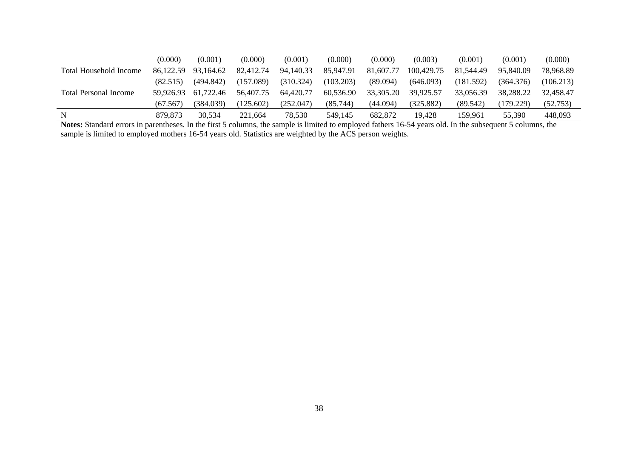|                              | (0.000)   | (0.001)   | (0.000)   | (0.001)   | (0.000)   | (0.000)   | (0.003)    | (0.001)   | (0.001)   | (0.000)   |
|------------------------------|-----------|-----------|-----------|-----------|-----------|-----------|------------|-----------|-----------|-----------|
| Total Household Income       | 86,122.59 | 93,164.62 | 82,412.74 | 94,140.33 | 85,947.91 | 81,607.77 | 100,429.75 | 81,544.49 | 95,840.09 | 78,968.89 |
|                              | (82.515)  | (494.842) | (157.089) | (310.324) | (103.203) | (89.094)  | (646.093)  | (181.592) | (364.376) | (106.213) |
| <b>Total Personal Income</b> | 59.926.93 | 61,722.46 | 56,407.75 | 64,420.77 | 60,536.90 | 33,305.20 | 39,925.57  | 33,056.39 | 38,288.22 | 32,458.47 |
|                              | (67.567)  | (384.039) | (125.602) | (252.047) | (85.744)  | (44.094)  | (325.882)  | (89.542)  | (179.229) | (52.753)  |
| N                            | 879.873   | 30.534    | 221.664   | 78,530    | 549.145   | 682.872   | 19.428     | 159.961   | 55,390    | 448,093   |

**Notes:** Standard errors in parentheses. In the first 5 columns, the sample is limited to employed fathers 16-54 years old. In the subsequent 5 columns, the sample is limited to employed mothers 16-54 years old. Statistics are weighted by the ACS person weights.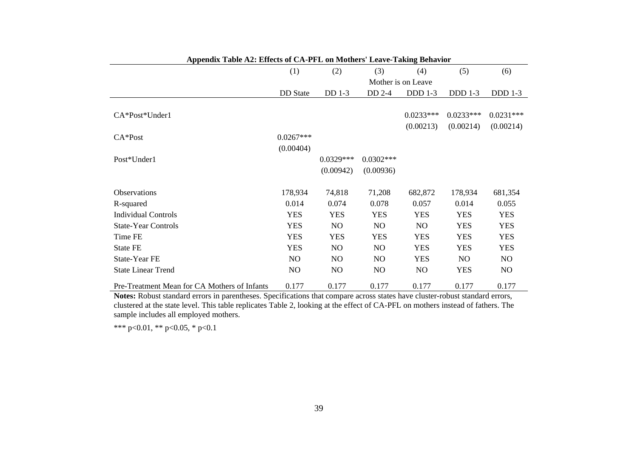| Appendix Table A2: Effects of CA-PFL on Mothers' Leave-Taking Behavior |                 |                |                |                    |             |                |
|------------------------------------------------------------------------|-----------------|----------------|----------------|--------------------|-------------|----------------|
|                                                                        | (1)             | (2)            | (3)            | (4)                | (5)         | (6)            |
|                                                                        |                 |                |                | Mother is on Leave |             |                |
|                                                                        | <b>DD</b> State | DD 1-3         | DD 2-4         | $DDD1-3$           | $DDD1-3$    | $DDD1-3$       |
|                                                                        |                 |                |                |                    |             |                |
| CA*Post*Under1                                                         |                 |                |                | $0.0233***$        | $0.0233***$ | $0.0231***$    |
|                                                                        |                 |                |                | (0.00213)          | (0.00214)   | (0.00214)      |
| $CA*Post$                                                              | $0.0267***$     |                |                |                    |             |                |
|                                                                        | (0.00404)       |                |                |                    |             |                |
| Post*Under1                                                            |                 | $0.0329***$    | $0.0302***$    |                    |             |                |
|                                                                        |                 | (0.00942)      | (0.00936)      |                    |             |                |
|                                                                        |                 |                |                |                    |             |                |
| <b>Observations</b>                                                    | 178,934         | 74,818         | 71,208         | 682,872            | 178,934     | 681,354        |
| R-squared                                                              | 0.014           | 0.074          | 0.078          | 0.057              | 0.014       | 0.055          |
| <b>Individual Controls</b>                                             | <b>YES</b>      | <b>YES</b>     | <b>YES</b>     | <b>YES</b>         | <b>YES</b>  | <b>YES</b>     |
| <b>State-Year Controls</b>                                             | <b>YES</b>      | NO.            | N <sub>O</sub> | N <sub>O</sub>     | <b>YES</b>  | <b>YES</b>     |
| Time FE                                                                | <b>YES</b>      | <b>YES</b>     | <b>YES</b>     | <b>YES</b>         | <b>YES</b>  | <b>YES</b>     |
| <b>State FE</b>                                                        | <b>YES</b>      | NO.            | N <sub>O</sub> | <b>YES</b>         | <b>YES</b>  | <b>YES</b>     |
| State-Year FE                                                          | N <sub>O</sub>  | NO.            | NO.            | <b>YES</b>         | NO          | N <sub>O</sub> |
| <b>State Linear Trend</b>                                              | N <sub>O</sub>  | N <sub>O</sub> | N <sub>O</sub> | N <sub>O</sub>     | <b>YES</b>  | N <sub>O</sub> |
| Pre-Treatment Mean for CA Mothers of Infants                           | 0.177           | 0.177          | 0.177          | 0.177              | 0.177       | 0.177          |

 **Notes:** Robust standard errors in parentheses. Specifications that compare across states have cluster-robust standard errors, clustered at the state level. This table replicates Table 2, looking at the effect of CA-PFL on mothers instead of fathers. The sample includes all employed mothers.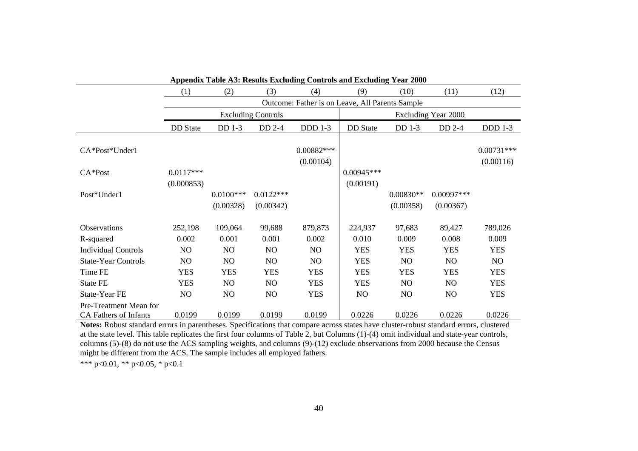|                                                        | Appendix Table A3: Results Excluding Controls and Excluding Year 2000 |                          |                           |                                                 |                           |                          |                            |                           |  |  |  |  |  |  |
|--------------------------------------------------------|-----------------------------------------------------------------------|--------------------------|---------------------------|-------------------------------------------------|---------------------------|--------------------------|----------------------------|---------------------------|--|--|--|--|--|--|
|                                                        | (1)                                                                   | (2)                      | (3)                       | (4)                                             | (9)                       | (10)                     | (11)                       | (12)                      |  |  |  |  |  |  |
|                                                        |                                                                       |                          |                           | Outcome: Father is on Leave, All Parents Sample |                           |                          |                            |                           |  |  |  |  |  |  |
|                                                        |                                                                       |                          | <b>Excluding Controls</b> |                                                 |                           |                          | <b>Excluding Year 2000</b> |                           |  |  |  |  |  |  |
|                                                        | <b>DD</b> State                                                       | DD 1-3                   | DD 2-4                    | <b>DDD</b> 1-3                                  | <b>DD</b> State           | DD 1-3                   | $DD$ 2-4                   | <b>DDD</b> 1-3            |  |  |  |  |  |  |
| CA*Post*Under1                                         |                                                                       |                          |                           | $0.00882***$<br>(0.00104)                       |                           |                          |                            | $0.00731***$<br>(0.00116) |  |  |  |  |  |  |
| $CA*Post$                                              | $0.0117***$<br>(0.000853)                                             |                          |                           |                                                 | $0.00945***$<br>(0.00191) |                          |                            |                           |  |  |  |  |  |  |
| Post*Under1                                            |                                                                       | $0.0100***$<br>(0.00328) | $0.0122***$<br>(0.00342)  |                                                 |                           | $0.00830**$<br>(0.00358) | 0.00997***<br>(0.00367)    |                           |  |  |  |  |  |  |
| Observations                                           | 252,198                                                               | 109,064                  | 99,688                    | 879,873                                         | 224,937                   | 97,683                   | 89,427                     | 789,026                   |  |  |  |  |  |  |
| R-squared                                              | 0.002                                                                 | 0.001                    | 0.001                     | 0.002                                           | 0.010                     | 0.009                    | 0.008                      | 0.009                     |  |  |  |  |  |  |
| <b>Individual Controls</b>                             | NO                                                                    | N <sub>O</sub>           | N <sub>O</sub>            | N <sub>O</sub>                                  | <b>YES</b>                | <b>YES</b>               | <b>YES</b>                 | <b>YES</b>                |  |  |  |  |  |  |
| <b>State-Year Controls</b>                             | NO                                                                    | N <sub>O</sub>           | NO                        | NO                                              | <b>YES</b>                | N <sub>O</sub>           | NO                         | NO                        |  |  |  |  |  |  |
| Time FE                                                | <b>YES</b>                                                            | <b>YES</b>               | <b>YES</b>                | <b>YES</b>                                      | <b>YES</b>                | <b>YES</b>               | <b>YES</b>                 | <b>YES</b>                |  |  |  |  |  |  |
| <b>State FE</b>                                        | <b>YES</b>                                                            | N <sub>O</sub>           | N <sub>O</sub>            | <b>YES</b>                                      | <b>YES</b>                | N <sub>O</sub>           | NO.                        | <b>YES</b>                |  |  |  |  |  |  |
| State-Year FE                                          | N <sub>O</sub>                                                        | NO                       | NO                        | <b>YES</b>                                      | N <sub>O</sub>            | NO.                      | N <sub>O</sub>             | <b>YES</b>                |  |  |  |  |  |  |
| Pre-Treatment Mean for<br><b>CA Fathers of Infants</b> | 0.0199                                                                | 0.0199                   | 0.0199                    | 0.0199                                          | 0.0226                    | 0.0226                   | 0.0226                     | 0.0226                    |  |  |  |  |  |  |

**Notes:** Robust standard errors in parentheses. Specifications that compare across states have cluster-robust standard errors, clustered at the state level. This table replicates the first four columns of Table 2, but Columns (1)-(4) omit individual and state-year controls, columns (5)-(8) do not use the ACS sampling weights, and columns (9)-(12) exclude observations from 2000 because the Census might be different from the ACS. The sample includes all employed fathers.